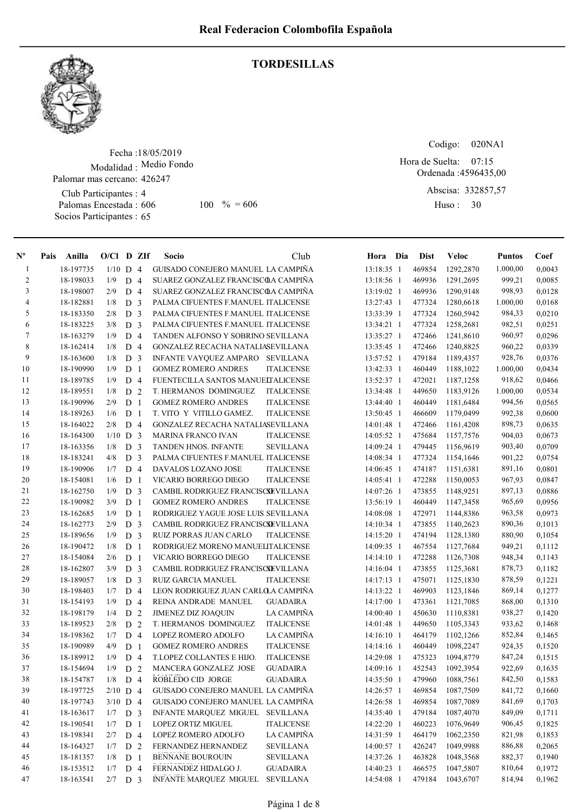

## TORDESILLAS

Fecha : 18/05/2019 Modalidad : Medio Fondo Palomar mas cercano: 426247

Club Participantes : 4 Palomas Encestada : Socios Participantes : 65

606 100 % = 606 Huso: 30

Codigo: 020NA1

Ordenada : 4596435,00 Hora de Suelta: 07:15

> Abscisa: 332857,57 Huso: 30

| $N^{\circ}$    | Pais | Anilla    | $O/Cl$ D ZIf |                |                | Socio                               | Club              | Hora Dia     | <b>Dist</b> | <b>Veloc</b>     | <b>Puntos</b> | Coef   |
|----------------|------|-----------|--------------|----------------|----------------|-------------------------------------|-------------------|--------------|-------------|------------------|---------------|--------|
| -1             |      | 18-197735 | $1/10$ D 4   |                |                | GUISADO CONEJERO MANUEL LA CAMPIÑA  |                   | 13:18:35 1   | 469854      | 1292,2870        | 1.000,00      | 0,0043 |
| $\overline{2}$ |      | 18-198033 | 1/9          | D <sub>4</sub> |                | SUAREZ GONZALEZ FRANCISCOA CAMPIÑA  |                   | 13:18:56 1   | 469936      | 1291,2695        | 999,21        | 0,0085 |
| 3              |      | 18-198007 | 2/9          | D <sub>4</sub> |                | SUAREZ GONZALEZ FRANCISCOA CAMPINA  |                   | 13:19:02 1   | 469936      | 1290,9148        | 998,93        | 0,0128 |
| $\overline{4}$ |      | 18-182881 | 1/8          | D <sub>3</sub> |                | PALMA CIFUENTES F.MANUEL ITALICENSE |                   | 13:27:43 1   | 477324      | 1280,6618        | 1.000,00      | 0,0168 |
| 5              |      | 18-183350 | 2/8          | D <sub>3</sub> |                | PALMA CIFUENTES F.MANUEL ITALICENSE |                   | 13:33:39 1   | 477324      | 1260,5942        | 984,33        | 0,0210 |
| 6              |      | 18-183225 | 3/8          | D <sub>3</sub> |                | PALMA CIFUENTES F.MANUEL ITALICENSE |                   | 13:34:21 1   | 477324      | 1258,2681        | 982,51        | 0,0251 |
| 7              |      | 18-163279 | 1/9          | D              | $\overline{4}$ | TANDEN ALFONSO Y SOBRINO SEVILLANA  |                   | 13:35:27 1   | 472466      | 1241,8610        | 960,97        | 0,0296 |
| 8              |      | 18-162414 | 1/8          | D 4            |                | GONZALEZ RECACHA NATALIASEVILLANA   |                   | 13:35:45 1   | 472466      | 1240,8825        | 960,22        | 0,0339 |
| 9              |      | 18-163600 | 1/8          | D <sub>3</sub> |                | INFANTE VAYQUEZ AMPARO SEVILLANA    |                   | 13:57:52 1   | 479184      | 1189,4357        | 928,76        | 0,0376 |
| 10             |      | 18-190990 | 1/9          | D <sub>1</sub> |                | <b>GOMEZ ROMERO ANDRES</b>          | <b>ITALICENSE</b> | 13:42:33 1   | 460449      | 1188,1022        | 1.000,00      | 0,0434 |
| 11             |      | 18-189785 | 1/9          | D <sub>4</sub> |                | FUENTECILLA SANTOS MANUELTALICENSE  |                   | 13:52:37 1   | 472021      | 1187,1258        | 918,62        | 0,0466 |
| 12             |      | 18-189551 | 1/8          | D <sub>2</sub> |                | T. HERMANOS DOMINGUEZ               | <b>ITALICENSE</b> | 13:34:48 1   | 449650      | 1183,9126        | 1.000,00      | 0,0534 |
| 13             |      | 18-190996 | 2/9          | D <sub>1</sub> |                | <b>GOMEZ ROMERO ANDRES</b>          | <b>ITALICENSE</b> | 13:44:40 1   | 460449      | 1181,6484        | 994,56        | 0,0565 |
| 14             |      | 18-189263 | 1/6          | D <sub>1</sub> |                | T. VITO Y VITILLO GAMEZ.            | <b>ITALICENSE</b> | 13:50:45 1   | 466609      | 1179,0499        | 992,38        | 0,0600 |
| 15             |      | 18-164022 | 2/8          | D 4            |                | GONZALEZ RECACHA NATALIASEVILLANA   |                   | 14:01:48 1   | 472466      | 1161,4208        | 898,73        | 0,0635 |
| 16             |      | 18-164300 | $1/10$ D 3   |                |                | <b>MARINA FRANCO IVAN</b>           | <b>ITALICENSE</b> | 14:05:52 1   | 475684      | 1157,7576        | 904,03        | 0,0673 |
| 17             |      | 18-163356 | 1/8          | D <sub>3</sub> |                | <b>TANDEN HNOS. INFANTE</b>         | SEVILLANA         | 14:09:24 1   | 479445      | 1156,9619        | 903,40        | 0,0709 |
| 18             |      | 18-183241 | 4/8          | D <sub>3</sub> |                | PALMA CIFUENTES F.MANUEL ITALICENSE |                   | 14:08:34 1   | 477324      | 1154,1646        | 901,22        | 0,0754 |
| 19             |      | 18-190906 | 1/7          | D              | $\overline{4}$ | DAVALOS LOZANO JOSE                 | <b>ITALICENSE</b> | 14:06:45 1   | 474187      | 1151,6381        | 891,16        | 0,0801 |
| 20             |      | 18-154081 | 1/6          | D <sub>1</sub> |                | VICARIO BORREGO DIEGO               | <b>ITALICENSE</b> | 14:05:41 1   | 472288      | 1150,0053        | 967,93        | 0,0847 |
| 21             |      | 18-162750 | 1/9          | D <sub>3</sub> |                | CAMBIL RODRIGUEZ FRANCISCSEVILLANA  |                   | 14:07:26 1   | 473855      | 1148,9251        | 897,13        | 0,0886 |
| 22             |      | 18-190982 | 3/9          | D <sub>1</sub> |                | <b>GOMEZ ROMERO ANDRES</b>          | <b>ITALICENSE</b> | 13:56:19 1   | 460449      | 1147,3458        | 965,69        | 0,0956 |
| 23             |      | 18-162685 | 1/9          | D <sub>1</sub> |                | RODRIGUEZ YAGUE JOSE LUIS SEVILLANA |                   | 14:08:08 1   | 472971      | 1144,8386        | 963,58        | 0,0973 |
| 24             |      | 18-162773 | 2/9          | D <sub>3</sub> |                | CAMBIL RODRIGUEZ FRANCISCSEVILLANA  |                   | 14:10:34 1   | 473855      | 1140,2623        | 890,36        | 0,1013 |
| 25             |      | 18-189656 | 1/9          | D <sub>3</sub> |                | RUIZ PORRAS JUAN CARLO              | <b>ITALICENSE</b> | 14:15:20 1   | 474194      | 1128,1380        | 880,90        | 0,1054 |
| 26             |      | 18-190472 | 1/8          | D <sub>1</sub> |                | RODRIGUEZ MORENO MANUELITALICENSE   |                   | 14:09:35 1   | 467554      | 1127,7684        | 949,21        | 0,1112 |
| 27             |      | 18-154084 | 2/6          | D <sub>1</sub> |                | VICARIO BORREGO DIEGO               | <b>ITALICENSE</b> | $14:14:10$ 1 | 472288      | 1126,7308        | 948,34        | 0,1143 |
| 28             |      | 18-162807 | 3/9          | D <sub>3</sub> |                | CAMBIL RODRIGUEZ FRANCISCSEVILLANA  |                   | $14:16:04$ 1 | 473855      | 1125,3681        | 878,73        | 0,1182 |
| 29             |      | 18-189057 | 1/8          | D <sub>3</sub> |                | <b>RUIZ GARCIA MANUEL</b>           | <b>ITALICENSE</b> | $14:17:13$ 1 | 475071      | 1125,1830        | 878,59        | 0,1221 |
| 30             |      | 18-198403 | 1/7          | $D_4$          |                | LEON RODRIGUEZ JUAN CARLO A CAMPIÑA |                   | 14:13:22 1   | 469903      | 1123,1846        | 869,14        | 0,1277 |
| 31             |      | 18-154193 | 1/9          | D <sub>4</sub> |                | REINA ANDRADE MANUEL                | <b>GUADAIRA</b>   | 14:17:00 1   | 473361      | 1121,7085        | 868,00        | 0,1310 |
| 32             |      | 18-198179 | 1/4          | D <sub>2</sub> |                | <b>JIMENEZ DIZ JOAQUIN</b>          | LA CAMPIÑA        | 14:00:40 1   | 450630      | 1110,8381        | 938,27        | 0,1420 |
| 33             |      | 18-189523 | 2/8          | D <sub>2</sub> |                | T. HERMANOS DOMINGUEZ               | <b>ITALICENSE</b> | 14:01:48 1   | 449650      | 1105,3343        | 933,62        | 0,1468 |
| 34             |      | 18-198362 | 1/7          | D <sub>4</sub> |                | LOPEZ ROMERO ADOLFO                 | LA CAMPIÑA        | 14:16:10 1   | 464179      | 1102,1266        | 852,84        | 0,1465 |
| 35             |      | 18-190989 | 4/9          | D <sub>1</sub> |                | <b>GOMEZ ROMERO ANDRES</b>          | <b>ITALICENSE</b> | 14:14:16 1   | 460449      | 1098,2247        | 924,35        | 0,1520 |
| 36             |      | 18-189912 | 1/9          | D <sub>4</sub> |                | T.LOPEZ COLLANTES E HIJO.           | <b>ITALICENSE</b> | 14:29:08 1   | 475323      | 1094,8779        | 847,24        | 0,1515 |
| 37             |      | 18-154694 | 1/9          | D <sub>2</sub> |                | MANCERA GONZALEZ JOSE               | <b>GUADAIRA</b>   | 14:09:16 1   | 452543      | 1092,3954        | 922,69        | 0,1635 |
| 38             |      | 18-154787 | 1/8          | D 4            |                | ROBLEDO CID JORGE                   | <b>GUADAIRA</b>   | 14:35:50 1   |             | 479960 1088,7561 | 842,50        | 0,1583 |
| 39             |      | 18-197725 | $2/10$ D 4   |                |                | GUISADO CONEJERO MANUEL LA CAMPIÑA  |                   | 14:26:57 1   | 469854      | 1087,7509        | 841,72        | 0,1660 |
| 40             |      | 18-197743 | $3/10$ D 4   |                |                | GUISADO CONEJERO MANUEL LA CAMPIÑA  |                   | 14:26:58 1   | 469854      | 1087,7089        | 841,69        | 0,1703 |
| 41             |      | 18-163617 | 1/7          | D <sub>3</sub> |                | INFANTE MARQUEZ MIGUEL SEVILLANA    |                   | 14:35:40 1   | 479184      | 1087,4070        | 849,09        | 0,1711 |
| 42             |      | 18-190541 | 1/7          | D <sub>1</sub> |                | <b>LOPEZ ORTIZ MIGUEL</b>           | <b>ITALICENSE</b> | 14:22:20 1   | 460223      | 1076,9649        | 906,45        | 0,1825 |
| 43             |      | 18-198341 | 2/7          | D 4            |                | LOPEZ ROMERO ADOLFO                 | LA CAMPIÑA        | 14:31:59 1   | 464179      | 1062,2350        | 821,98        | 0,1853 |
| 44             |      | 18-164327 | 1/7          | D <sub>2</sub> |                | FERNANDEZ HERNANDEZ                 | <b>SEVILLANA</b>  | 14:00:57 1   | 426247      | 1049,9988        | 886,88        | 0,2065 |
| 45             |      | 18-181357 | 1/8          | D <sub>1</sub> |                | <b>BENNANE BOUROUIN</b>             | <b>SEVILLANA</b>  | 14:37:26 1   | 463828      | 1048,3568        | 882,37        | 0,1940 |
| 46             |      | 18-153512 | 1/7          | D <sub>4</sub> |                | FERNANDEZ HIDALGO J.                | <b>GUADAIRA</b>   | 14:40:23 1   | 466575      | 1047,5807        | 810,64        | 0,1972 |
| 47             |      | 18-163541 | $2/7$ D 3    |                |                | INFANTE MARQUEZ MIGUEL              | <b>SEVILLANA</b>  | 14:54:08 1   | 479184      | 1043,6707        | 814,94        | 0,1962 |
|                |      |           |              |                |                |                                     |                   |              |             |                  |               |        |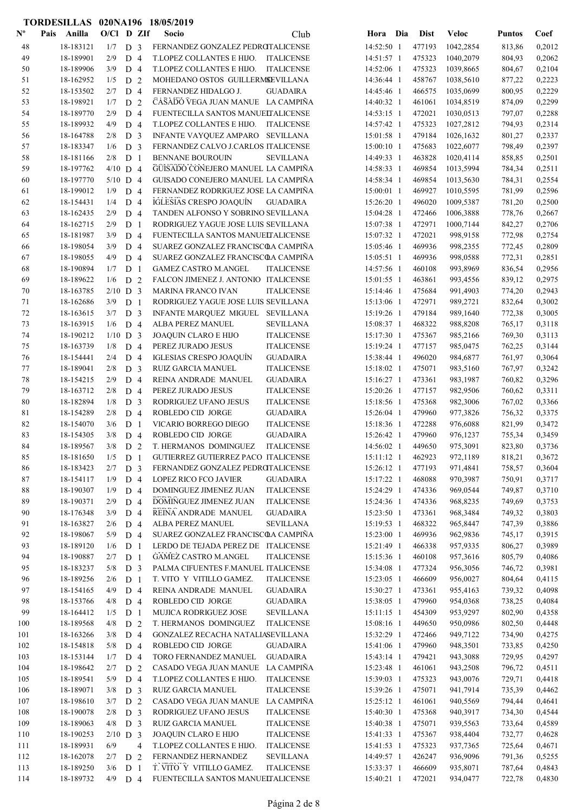|                           | TORDESILLAS 020NA196 18/05/2019 |            |                |                |                                      |                           |              |     |             |              |               |        |
|---------------------------|---------------------------------|------------|----------------|----------------|--------------------------------------|---------------------------|--------------|-----|-------------|--------------|---------------|--------|
| $\mathbf{N}^{\mathbf{o}}$ | Pais Anilla                     | O/Cl D ZIf |                |                | Socio                                | Club                      | Hora         | Dia | <b>Dist</b> | <b>Veloc</b> | <b>Puntos</b> | Coef   |
| 48                        | 18-183121                       | 1/7        | D <sub>3</sub> |                | FERNANDEZ GONZALEZ PEDROTALICENSE    |                           | 14:52:50 1   |     | 477193      | 1042,2854    | 813,86        | 0,2012 |
| 49                        | 18-189901                       | 2/9        | D 4            |                | T.LOPEZ COLLANTES E HIJO.            | <b>ITALICENSE</b>         | 14:51:57 1   |     | 475323      | 1040,2079    | 804,93        | 0,2062 |
| 50                        | 18-189906                       | 3/9        | D <sub>4</sub> |                | T.LOPEZ COLLANTES E HIJO.            | <b>ITALICENSE</b>         | 14:52:06 1   |     | 475323      | 1039,8665    | 804,67        | 0,2104 |
| 51                        | 18-162952                       | 1/5        | D <sub>2</sub> |                | MOHEDANO OSTOS GUILLERMSEVILLANA     |                           | 14:36:44 1   |     | 458767      | 1038,5610    | 877,22        | 0,2223 |
| 52                        | 18-153502                       | 2/7        | D <sub>4</sub> |                | FERNANDEZ HIDALGO J.                 | <b>GUADAIRA</b>           | 14:45:46 1   |     | 466575      | 1035,0699    | 800,95        | 0,2229 |
| 53                        | 18-198921                       | 1/7        | D              | 2              | CASADO VEGA JUAN MANUE LA CAMPIÑA    |                           | 14:40:32 1   |     | 461061      | 1034,8519    | 874,09        | 0,2299 |
| 54                        | 18-189770                       | 2/9        | D <sub>4</sub> |                | FUENTECILLA SANTOS MANUELTALICENSE   |                           | $14:53:15$ 1 |     | 472021      | 1030,0513    | 797,07        | 0,2288 |
| 55                        | 18-189932                       | 4/9        | D <sub>4</sub> |                | T.LOPEZ COLLANTES E HIJO.            | <b>ITALICENSE</b>         | 14:57:42 1   |     | 475323      | 1027,2812    | 794,93        | 0,2314 |
| 56                        | 18-164788                       | 2/8        | D <sub>3</sub> |                | INFANTE VAYQUEZ AMPARO SEVILLANA     |                           | 15:01:58 1   |     | 479184      | 1026,1632    | 801,27        | 0,2337 |
| 57                        | 18-183347                       | 1/6        | D <sub>3</sub> |                | FERNANDEZ CALVO J.CARLOS ITALICENSE  |                           | 15:00:10 1   |     | 475683      | 1022,6077    | 798,49        | 0,2397 |
| 58                        | 18-181166                       | 2/8        | D <sub>1</sub> |                | <b>BENNANE BOUROUIN</b>              | <b>SEVILLANA</b>          | 14:49:33 1   |     | 463828      | 1020,4114    | 858,85        | 0,2501 |
| 59                        | 18-197762                       | $4/10$ D 4 |                |                | GÛISADO CONEJERO MANUEL LA CAMPIÑA   |                           | 14:58:33 1   |     | 469854      | 1013,5994    | 784,34        | 0,2511 |
| 60                        | 18-197770                       | $5/10$ D 4 |                |                | GUISADO CONEJERO MANUEL LA CAMPIÑA   |                           | 14:58:34 1   |     | 469854      | 1013,5630    | 784,31        | 0,2554 |
| 61                        | 18-199012                       | 1/9        | D <sub>4</sub> |                | FERNANDEZ RODRIGUEZ JOSE LA CAMPIÑA  |                           | 15:00:01 1   |     | 469927      | 1010,5595    | 781,99        | 0,2596 |
| 62                        | 18-154431                       | 1/4        | D <sub>4</sub> |                | IGLESIAS CRESPO JOAQUÍN              | <b>GUADAIRA</b>           | 15:26:20 1   |     | 496020      | 1009,5387    | 781,20        | 0,2500 |
| 63                        | 18-162435                       | 2/9        | $D_4$          |                | TANDEN ALFONSO Y SOBRINO SEVILLANA   |                           | 15:04:28 1   |     | 472466      | 1006,3888    | 778,76        | 0,2667 |
| 64                        | 18-162715                       | 2/9        | D <sub>1</sub> |                | RODRIGUEZ YAGUE JOSE LUIS SEVILLANA  |                           | 15:07:38 1   |     | 472971      | 1000,7144    | 842,27        | 0,2706 |
| 65                        | 18-181987                       | 3/9        | D <sub>4</sub> |                | FUENTECILLA SANTOS MANUELTALICENSE   |                           | 15:07:32 1   |     | 472021      | 998,9158     | 772,98        | 0,2754 |
| 66                        | 18-198054                       | 3/9        | D <sub>4</sub> |                | SUAREZ GONZALEZ FRANCISCOA CAMPINA   |                           | 15:05:46 1   |     | 469936      | 998,2355     | 772,45        | 0,2809 |
| 67                        | 18-198055                       | 4/9        | D <sub>4</sub> |                | SUAREZ GONZALEZ FRANCISCOA CAMPIÑA   |                           | $15:05:51$ 1 |     | 469936      | 998,0588     | 772,31        | 0,2851 |
| 68                        | 18-190894                       | 1/7        | D              | -1             | <b>GAMEZ CASTRO M.ANGEL</b>          | <b>ITALICENSE</b>         | 14:57:56 1   |     | 460108      | 993,8969     | 836,54        | 0,2956 |
| 69                        | 18-189622                       | 1/6        | D <sub>2</sub> |                | FALCON JIMENEZ J. ANTONIO ITALICENSE |                           | 15:01:55 1   |     | 463861      | 993,4556     | 839,12        | 0,2975 |
| 70                        | 18-163785                       | $2/10$ D 3 |                |                | <b>MARINA FRANCO IVAN</b>            | <b>ITALICENSE</b>         | 15:14:46 1   |     | 475684      | 991,4903     | 774,20        | 0,2943 |
| 71                        | 18-162686                       | 3/9        | D <sub>1</sub> |                | RODRIGUEZ YAGUE JOSE LUIS SEVILLANA  |                           | 15:13:06 1   |     | 472971      | 989,2721     | 832,64        | 0,3002 |
| 72                        | 18-163615                       | 3/7        | D <sub>3</sub> |                | INFANTE MARQUEZ MIGUEL               | <b>SEVILLANA</b>          | 15:19:26 1   |     | 479184      | 989,1640     | 772,38        | 0,3005 |
| 73                        | 18-163915                       | 1/6        | D <sub>4</sub> |                | ALBA PEREZ MANUEL                    | SEVILLANA                 | 15:08:37 1   |     | 468322      | 988,8208     | 765,17        | 0,3118 |
| 74                        | 18-190212                       | $1/10$ D 3 |                |                | JOAQUIN CLARO E HIJO                 | <b>ITALICENSE</b>         | 15:17:30 1   |     | 475367      | 985,2166     | 769,30        | 0,3113 |
| 75                        | 18-163739                       | 1/8        | D 4            |                | PEREZ JURADO JESUS                   | <b>ITALICENSE</b>         | 15:19:24 1   |     | 477157      | 985,0475     | 762,25        | 0,3144 |
| 76                        | 18-154441                       | 2/4        | D <sub>4</sub> |                | <b>IGLESIAS CRESPO JOAQUÍN</b>       | $\operatorname{GUADAIRA}$ | 15:38:44 1   |     | 496020      | 984,6877     | 761,97        | 0,3064 |
| 77                        | 18-189041                       | 2/8        | D <sub>3</sub> |                | RUIZ GARCIA MANUEL                   | <b>ITALICENSE</b>         | 15:18:02 1   |     | 475071      | 983,5160     | 767,97        | 0,3242 |
| 78                        | 18-154215                       | 2/9        | D <sub>4</sub> |                | REINA ANDRADE MANUEL                 | <b>GUADAIRA</b>           | 15:16:27 1   |     | 473361      | 983,1987     | 760,82        | 0,3296 |
| 79                        | 18-163712                       | 2/8        | D 4            |                | PEREZ JURADO JESUS                   | <b>ITALICENSE</b>         | 15:20:26 1   |     | 477157      | 982,9506     | 760,62        | 0,3311 |
| 80                        | 18-182894                       | 1/8        | D <sub>3</sub> |                | RODRIGUEZ UFANO JESUS                | <b>ITALICENSE</b>         | 15:18:56 1   |     | 475368      | 982,3006     | 767,02        | 0,3366 |
| 81                        | 18-154289                       | 2/8        | D 4            |                | ROBLEDO CID JORGE                    | <b>GUADAIRA</b>           | 15:26:04 1   |     | 479960      | 977,3826     | 756,32        | 0,3375 |
| 82                        | 18-154070                       | 3/6        | D <sub>1</sub> |                | VICARIO BORREGO DIEGO                | <b>ITALICENSE</b>         | 15:18:36 1   |     | 472288      | 976,6088     | 821,99        | 0,3472 |
| 83                        | 18-154305                       | 3/8        | D 4            |                | ROBLEDO CID JORGE                    | <b>GUADAIRA</b>           | 15:26:42 1   |     | 479960      | 976,1237     | 755,34        | 0,3459 |
| 84                        | 18-189567                       | 3/8        | D <sub>2</sub> |                | T. HERMANOS DOMINGUEZ                | <b>ITALICENSE</b>         | 14:56:02 1   |     | 449650      | 975,3091     | 823,80        | 0,3736 |
| 85                        | 18-181650                       | 1/5        | D <sub>1</sub> |                | GUTIERREZ GUTIERREZ PACO ITALICENSE  |                           | $15:11:12$ 1 |     | 462923      | 972,1189     | 818,21        | 0,3672 |
| 86                        | 18-183423                       | 2/7        | D <sub>3</sub> |                | FERNANDEZ GONZALEZ PEDROTALICENSE    |                           | 15:26:12 1   |     | 477193      | 971,4841     | 758,57        | 0,3604 |
| 87                        | 18-154117                       | 1/9        | D 4            |                | <b>LOPEZ RICO FCO JAVIER</b>         | <b>GUADAIRA</b>           | 15:17:22 1   |     | 468088      | 970,3987     | 750,91        | 0,3717 |
| $\bf 88$                  | 18-190307                       | 1/9        | $D_4$          |                | DOMINGUEZ JIMENEZ JUAN               | <b>ITALICENSE</b>         | 15:24:29 1   |     | 474336      | 969,0544     | 749,87        | 0,3710 |
| 89                        | 18-190371                       | 2/9        | D <sub>4</sub> |                | DOMINGUEZ JIMENEZ JUAN               | <b>ITALICENSE</b>         | 15:24:36 1   |     | 474336      | 968,8235     | 749,69        | 0,3753 |
| 90                        | 18-176348                       | 3/9        | $D_4$          |                | REINA ANDRADE MANUEL                 | <b>GUADAIRA</b>           | 15:23:50 1   |     | 473361      | 968,3484     | 749,32        | 0,3803 |
| 91                        | 18-163827                       | 2/6        | D 4            |                | ALBA PEREZ MANUEL                    | <b>SEVILLANA</b>          | 15:19:53 1   |     | 468322      | 965,8447     | 747,39        | 0,3886 |
| 92                        | 18-198067                       | 5/9        | D 4            |                | SUAREZ GONZALEZ FRANCISCOA CAMPIÑA   |                           | 15:23:00 1   |     | 469936      | 962,9836     | 745,17        | 0,3915 |
| 93                        | 18-189120                       | 1/6        | D <sub>1</sub> |                | LERDO DE TEJADA PEREZ DE ITALICENSE  |                           | 15:21:49 1   |     | 466338      | 957,9335     | 806,27        | 0,3989 |
| 94                        | 18-190887                       | 2/7        | D <sub>1</sub> |                | <b>GAMEZ CASTRO M.ANGEL</b>          | <b>ITALICENSE</b>         | 15:15:36 1   |     | 460108      | 957,3616     | 805,79        | 0,4086 |
| 95                        | 18-183237                       | 5/8        | D <sub>3</sub> |                | PALMA CIFUENTES F.MANUEL ITALICENSE  |                           | 15:34:08 1   |     | 477324      | 956,3056     | 746,72        | 0,3981 |
| 96                        | 18-189256                       | 2/6        | D <sub>1</sub> |                | T. VITO Y VITILLO GAMEZ.             | <b>ITALICENSE</b>         | 15:23:05 1   |     | 466609      | 956,0027     | 804,64        | 0,4115 |
| 97                        | 18-154165                       | 4/9        | D 4            |                | REINA ANDRADE MANUEL                 | <b>GUADAIRA</b>           | 15:30:27 1   |     | 473361      | 955,4163     | 739,32        | 0,4098 |
| 98                        | 18-153766                       | 4/8        | D 4            |                | ROBLEDO CID JORGE                    | $\operatorname{GUADAIRA}$ | 15:38:05 1   |     | 479960      | 954,0368     | 738,25        | 0,4084 |
| 99                        | 18-164412                       | 1/5        | D <sub>1</sub> |                | MUJICA RODRIGUEZ JOSE                | <b>SEVILLANA</b>          | 15:11:15 1   |     | 454309      | 953,9297     | 802,90        | 0,4358 |
| $100\,$                   | 18-189568                       | 4/8        | D 2            |                | T. HERMANOS DOMINGUEZ                | <b>ITALICENSE</b>         | 15:08:16 1   |     | 449650      | 950,0986     | 802,50        | 0,4448 |
| 101                       | 18-163266                       | 3/8        | D <sub>4</sub> |                | GONZALEZ RECACHA NATALIASEVILLANA    |                           | 15:32:29 1   |     | 472466      | 949,7122     | 734,90        | 0,4275 |
| 102                       | 18-154818                       | 5/8        | D <sub>4</sub> |                | ROBLEDO CID JORGE                    | <b>GUADAIRA</b>           | 15:41:06 1   |     | 479960      | 948,3501     | 733,85        | 0,4250 |
| 103                       | 18-153144                       | 1/7        | D <sub>4</sub> |                | TORO FERNANDEZ MANUEL                | <b>GUADAIRA</b>           | 15:43:14 1   |     | 479421      | 943,3088     | 729,95        | 0,4297 |
| 104                       | 18-198642                       | 2/7        | D <sub>2</sub> |                | CASADO VEGA JUAN MANUE               | LA CAMPIÑA                | 15:23:48 1   |     | 461061      | 943,2508     | 796,72        | 0,4511 |
| 105                       | 18-189541                       | 5/9        | D <sub>4</sub> |                | T.LOPEZ COLLANTES E HIJO.            | <b>ITALICENSE</b>         | 15:39:03 1   |     | 475323      | 943,0076     | 729,71        | 0,4418 |
| 106                       | 18-189071                       | 3/8        | D <sub>3</sub> |                | RUIZ GARCIA MANUEL                   | <b>ITALICENSE</b>         | 15:39:26 1   |     | 475071      | 941,7914     | 735,39        | 0,4462 |
| 107                       | 18-198610                       | 3/7        | D 2            |                | CASADO VEGA JUAN MANUE LA CAMPIÑA    |                           | 15:25:12 1   |     | 461061      | 940,5569     | 794,44        | 0,4641 |
| 108                       | 18-190078                       | 2/8        | D <sub>3</sub> |                | RODRIGUEZ UFANO JESUS                | <b>ITALICENSE</b>         | 15:40:30 1   |     | 475368      | 940,3917     | 734,30        | 0,4544 |
| 109                       | 18-189063                       | 4/8        | D <sub>3</sub> |                | RUIZ GARCIA MANUEL                   | <b>ITALICENSE</b>         | 15:40:38 1   |     | 475071      | 939,5563     | 733,64        | 0,4589 |
| 110                       | 18-190253                       | $2/10$ D 3 |                |                | JOAQUIN CLARO E HIJO                 | <b>ITALICENSE</b>         | 15:41:33 1   |     | 475367      | 938,4404     | 732,77        | 0,4628 |
| 111                       | 18-189931                       | 6/9        |                | $\overline{4}$ | T.LOPEZ COLLANTES E HIJO.            | <b>ITALICENSE</b>         | 15:41:53 1   |     | 475323      | 937,7365     | 725,64        | 0,4671 |
| 112                       | 18-162078                       | 2/7        | D <sub>2</sub> |                | FERNANDEZ HERNANDEZ                  | <b>SEVILLANA</b>          | 14:49:57 1   |     | 426247      | 936,9096     | 791,36        | 0,5255 |
| 113                       | 18-189250                       | 3/6        | D <sub>1</sub> |                | T. VITO Y VITILLO GAMEZ.             | <b>ITALICENSE</b>         | 15:33:37 1   |     | 466609      | 935,8071     | 787,64        | 0,4843 |
| 114                       | 18-189732                       | 4/9        | D <sub>4</sub> |                | FUENTECILLA SANTOS MANUELTALICENSE   |                           | 15:40:21 1   |     | 472021      | 934,0477     | 722,78        | 0,4830 |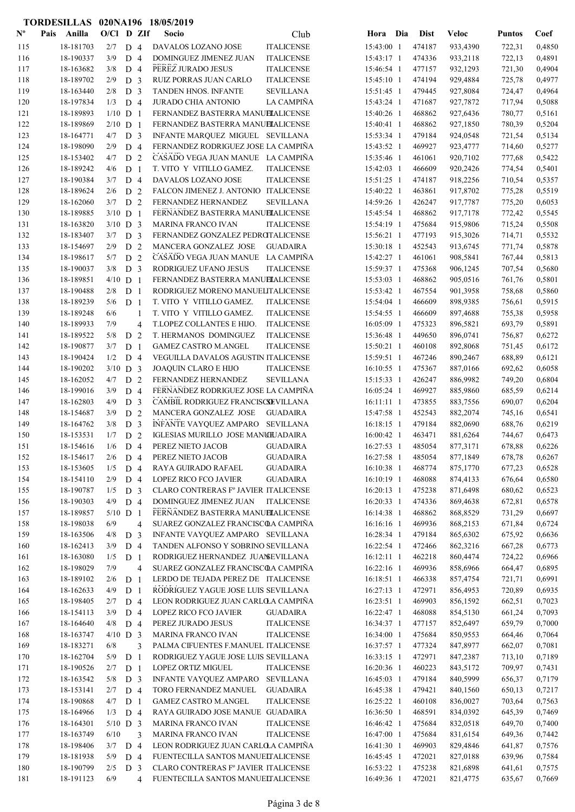|                           | TORDESILLAS 020NA196 18/05/2019 |            |                       |                |                                                                              |                          |                  |                      |                  |                  |
|---------------------------|---------------------------------|------------|-----------------------|----------------|------------------------------------------------------------------------------|--------------------------|------------------|----------------------|------------------|------------------|
| $\mathbf{N}^{\mathbf{o}}$ | Pais Anilla                     | O/Cl D ZIf |                       |                | Socio<br>Club                                                                | Hora Dia                 | <b>Dist</b>      | <b>Veloc</b>         | <b>Puntos</b>    | Coef             |
| 115                       | 18-181703                       | 2/7        | D <sub>4</sub>        |                | <b>ITALICENSE</b><br>DAVALOS LOZANO JOSE                                     | 15:43:00 1               | 474187           | 933,4390             | 722,31           | 0,4850           |
| 116                       | 18-190337                       | 3/9        | D <sub>4</sub>        |                | DOMINGUEZ JIMENEZ JUAN<br><b>ITALICENSE</b>                                  | 15:43:17 1               | 474336           | 933,2118             | 722,13           | 0,4891           |
| 117                       | 18-163682                       | 3/8        | D 4                   |                | PEREZ JURADO JESUS<br><b>ITALICENSE</b>                                      | 15:46:54 1               | 477157           | 932,1293             | 721,30           | 0,4904           |
| 118                       | 18-189702                       | 2/9        | D <sub>3</sub>        |                | RUIZ PORRAS JUAN CARLO<br><b>ITALICENSE</b>                                  | 15:45:10 1               | 474194           | 929,4884             | 725,78           | 0,4977           |
| 119                       | 18-163440                       | 2/8        | D <sub>3</sub>        |                | TANDEN HNOS. INFANTE<br><b>SEVILLANA</b>                                     | 15:51:45 1               | 479445           | 927,8084             | 724,47           | 0,4964           |
| 120                       | 18-197834                       | 1/3        | D <sub>4</sub>        |                | JURADO CHIA ANTONIO<br>LA CAMPIÑA                                            | 15:43:24 1               | 471687           | 927,7872             | 717,94           | 0,5088           |
| 121                       | 18-189893                       | $1/10$ D 1 |                       |                | FERNANDEZ BASTERRA MANUELALICENSE                                            | 15:40:26 1               | 468862           | 927,6436             | 780,77           | 0,5161           |
| 122                       | 18-189869                       | $2/10$ D 1 |                       |                | FERNANDEZ BASTERRA MANUELALICENSE                                            | 15:40:41 1               | 468862           | 927,1850             | 780,39           | 0,5204           |
| 123                       | 18-164771                       | 4/7        | D <sub>3</sub>        |                | INFANTE MARQUEZ MIGUEL SEVILLANA                                             | 15:53:34 1               | 479184           | 924,0548             | 721,54           | 0,5134           |
| 124                       | 18-198090                       | 2/9        | D 4                   |                | FERNANDEZ RODRIGUEZ JOSE LA CAMPIÑA                                          | 15:43:52 1               | 469927           | 923,4777             | 714,60           | 0,5277           |
| 125                       | 18-153402                       | 4/7        | D 2                   |                | CASADO VEGA JUAN MANUE LA CAMPIÑA                                            | 15:35:46 1               | 461061           | 920,7102             | 777,68           | 0,5422           |
| 126                       | 18-189242                       | 4/6        | D <sub>1</sub>        |                | T. VITO Y VITILLO GAMEZ.<br><b>ITALICENSE</b>                                | 15:42:03 1               | 466609           | 920,2426             | 774,54           | 0,5401           |
| 127                       | 18-190384                       | 3/7        | D <sub>4</sub>        |                | DAVALOS LOZANO JOSE<br><b>ITALICENSE</b>                                     | 15:51:25 1               | 474187           | 918,2256             | 710,54           | 0,5357           |
| 128                       | 18-189624                       | 2/6        | D <sub>2</sub>        |                | FALCON JIMENEZ J. ANTONIO ITALICENSE                                         | 15:40:22 1               | 463861           | 917,8702             | 775,28           | 0,5519           |
| 129                       | 18-162060                       | 3/7        | D <sub>2</sub>        |                | FERNANDEZ HERNANDEZ<br>SEVILLANA                                             | 14:59:26 1               | 426247           | 917,7787             | 775,20           | 0,6053           |
| 130                       | 18-189885                       | $3/10$ D 1 |                       |                | FERNANDEZ BASTERRA MANUELALICENSE                                            | 15:45:54 1               | 468862           | 917,7178             | 772,42           | 0,5545           |
| 131                       | 18-163820                       | $3/10$ D 3 |                       |                | <b>MARINA FRANCO IVAN</b><br><b>ITALICENSE</b>                               | 15:54:19 1               | 475684           | 915,9806             | 715,24           | 0,5508           |
| 132                       | 18-183407                       | 3/7        | D <sub>3</sub>        |                | FERNANDEZ GONZALEZ PEDROTALICENSE                                            | 15:56:21 1               | 477193           | 915,3026             | 714,71           | 0,5532           |
| 133                       | 18-154697                       | 2/9        | D <sub>2</sub>        |                | MANCERA GONZALEZ JOSE<br><b>GUADAIRA</b>                                     | 15:30:18 1               | 452543           | 913,6745             | 771,74           | 0,5878           |
| 134                       | 18-198617                       | 5/7        | D <sub>2</sub>        |                | CASADO VEGA JUAN MANUE LA CAMPIÑA                                            | 15:42:27 1               | 461061           | 908,5841             | 767,44           | 0,5813           |
| 135                       | 18-190037                       | 3/8        | D <sub>3</sub>        |                | RODRIGUEZ UFANO JESUS<br><b>ITALICENSE</b>                                   | 15:59:37 1               | 475368           | 906,1245             | 707,54           | 0,5680           |
| 136                       | 18-189851                       | $4/10$ D 1 |                       |                | FERNANDEZ BASTERRA MANUELALICENSE                                            | $15:53:03$ 1             | 468862           | 905,0516             | 761,76           | 0,5801           |
| 137                       | 18-190488                       | 2/8        | D <sub>1</sub>        |                | RODRIGUEZ MORENO MANUELITALICENSE                                            | 15:53:42 1               | 467554           | 901,3958             | 758,68           | 0,5860           |
| 138                       | 18-189239                       | 5/6        | D <sub>1</sub>        |                | T. VITO Y VITILLO GAMEZ.<br><b>ITALICENSE</b>                                | 15:54:04 1               | 466609           | 898,9385             | 756,61           | 0,5915           |
| 139                       | 18-189248                       | 6/6        |                       | 1              | T. VITO Y VITILLO GAMEZ.<br><b>ITALICENSE</b>                                | 15:54:55 1               | 466609           | 897,4688             | 755,38           | 0,5958           |
| 140                       | 18-189933                       | 7/9        |                       | 4              | T.LOPEZ COLLANTES E HIJO.<br><b>ITALICENSE</b>                               | 16:05:09 1               | 475323           | 896,5821             | 693,79           | 0,5891           |
| 141                       | 18-189522                       | 5/8        | D                     | 2              | T. HERMANOS DOMINGUEZ<br><b>ITALICENSE</b>                                   | 15:36:48 1               | 449650           | 896,0741             | 756,87           | 0,6272           |
| 142                       | 18-190877                       | 3/7        | D                     | 1              | <b>GAMEZ CASTRO M.ANGEL</b><br><b>ITALICENSE</b>                             | 15:50:21 1               | 460108           | 892,8068             | 751,45           | 0,6172           |
| 143                       | 18-190424                       | 1/2        | D 4                   |                | VEGUILLA DAVALOS AGUSTIN ITALICENSE                                          | 15:59:51 1               | 467246           | 890,2467             | 688,89           | 0,6121           |
| 144                       | 18-190202                       | $3/10$ D 3 |                       |                | JOAQUIN CLARO E HIJO<br><b>ITALICENSE</b>                                    | 16:10:55 1               | 475367           | 887,0166             | 692,62           | 0,6058           |
| 145                       | 18-162052                       | 4/7        | D                     | 2              | FERNANDEZ HERNANDEZ<br><b>SEVILLANA</b>                                      | $15:15:33$ 1             | 426247           | 886,9982             | 749,20           | 0,6804           |
| 146                       | 18-199016                       | 3/9        | D 4                   |                | FERNANDEZ RODRIGUEZ JOSE LA CAMPIÑA                                          | $16:05:24$ 1             | 469927           | 885,9860             | 685,59           | 0,6214           |
| 147                       | 18-162803                       | 4/9        | D <sub>3</sub>        |                | CAMBIL RODRIGUEZ FRANCISCSEVILLANA                                           | $16:11:11$ 1             | 473855           | 883,7556             | 690,07           | 0,6204           |
| 148                       | 18-154687                       | 3/9        | D <sub>2</sub>        |                | MANCERA GONZALEZ JOSE<br><b>GUADAIRA</b>                                     | 15:47:58 1               | 452543           | 882,2074             | 745,16           | 0,6541           |
| 149                       | 18-164762                       | 3/8        | D <sub>3</sub>        |                | INFANTE VAYQUEZ AMPARO SEVILLANA                                             | 16:18:15 1               | 479184           | 882,0690             | 688,76           | 0,6219           |
| 150                       | 18-153531                       | 1/7        | D 2                   |                | IGLESIAS MURILLO JOSE MANUILADAIRA                                           | 16:00:42 1<br>16:27:53 1 | 463471           | 881,6264             | 744,67           | 0,6473           |
| 151                       | 18-154616                       | 1/6        | D 4                   |                | PEREZ NIETO JACOB<br><b>GUADAIRA</b><br>PEREZ NIETO JACOB<br><b>GUADAIRA</b> |                          | 485054<br>485054 | 877,3171<br>877,1849 | 678,88           | 0,6226           |
| 152                       | 18-154617<br>18-153605          | 2/6<br>1/5 | D 4                   |                | RAYA GUIRADO RAFAEL                                                          | 16:27:58 1<br>16:10:38 1 | 468774           | 875,1770             | 678,78           | 0,6267<br>0,6528 |
| 153<br>154                | 18-154110                       | 2/9        | D 4<br>D <sub>4</sub> |                | <b>GUADAIRA</b><br>LOPEZ RICO FCO JAVIER<br><b>GUADAIRA</b>                  | 16:10:19 1               | 468088           | 874,4133             | 677,23<br>676,64 | 0,6580           |
| 155                       | 18-190787                       | 1/5        | D <sub>3</sub>        |                | CLARO CONTRERAS Fº JAVIER ITALICENSE                                         | 16:20:13 1               | 475238           | 871,6498             | 680,62           | 0,6523           |
| 156                       | 18-190303                       | 4/9        | D <sub>4</sub>        |                | DOMINGUEZ JIMENEZ JUAN<br>ITALICENSE                                         | 16:20:33 1               | 474336           | 869,4638             | 672,81           | 0,6578           |
| 157                       | 18-189857                       | $5/10$ D 1 |                       |                | FERNANDEZ BASTERRA MANUELALICENSE                                            | 16:14:38 1               | 468862           | 868,8529             | 731,29           | 0,6697           |
| 158                       | 18-198038                       | 6/9        |                       | 4              | SUAREZ GONZALEZ FRANCISCOA CAMPIÑA                                           | 16:16:16 1               | 469936           | 868,2153             | 671,84           | 0,6724           |
| 159                       | 18-163506                       | 4/8        | D <sub>3</sub>        |                | INFANTE VAYQUEZ AMPARO SEVILLANA                                             | 16:28:34 1               | 479184           | 865,6302             | 675,92           | 0,6636           |
| 160                       | 18-162413                       | 3/9        | D 4                   |                | TANDEN ALFONSO Y SOBRINO SEVILLANA                                           | 16:22:54 1               | 472466           | 862,3216             | 667,28           | 0,6773           |
| 161                       | 18-163080                       | 1/5        | D <sub>1</sub>        |                | RODRIGUEZ HERNANDEZ JUANEVILLANA                                             | $16:12:11$ 1             | 462218           | 860,4474             | 724,22           | 0,6966           |
| 162                       | 18-198029                       | 7/9        |                       | 4              | SUAREZ GONZALEZ FRANCISCOA CAMPIÑA                                           | 16:22:16 1               | 469936           | 858,6966             | 664,47           | 0,6895           |
| 163                       | 18-189102                       | 2/6        | D <sub>1</sub>        |                | LERDO DE TEJADA PEREZ DE ITALICENSE                                          | 16:18:51 1               | 466338           | 857,4754             | 721,71           | 0,6991           |
| 164                       | 18-162633                       | 4/9        | D <sub>1</sub>        |                | RODRIGUEZ YAGUE JOSE LUIS SEVILLANA                                          | 16:27:13 1               | 472971           | 856,4953             | 720,89           | 0,6935           |
| 165                       | 18-198405                       | 2/7        |                       | D 4            | LEON RODRIGUEZ JUAN CARLOLA CAMPIÑA                                          | 16:23:51 1               | 469903           | 856,1592             | 662,51           | 0,7023           |
| 166                       | 18-154113                       | 3/9        | D <sub>4</sub>        |                | LOPEZ RICO FCO JAVIER<br><b>GUADAIRA</b>                                     | 16:22:47 1               | 468088           | 854,5130             | 661,24           | 0,7093           |
| 167                       | 18-164640                       | 4/8        | D 4                   |                | PEREZ JURADO JESUS<br><b>ITALICENSE</b>                                      | 16:34:37 1               | 477157           | 852,6497             | 659,79           | 0,7000           |
| 168                       | 18-163747                       | $4/10$ D 3 |                       |                | MARINA FRANCO IVAN<br><b>ITALICENSE</b>                                      | 16:34:00 1               | 475684           | 850,9553             | 664,46           | 0,7064           |
| 169                       | 18-183271                       | 6/8        |                       | 3              | PALMA CIFUENTES F.MANUEL ITALICENSE                                          | 16:37:57 1               | 477324           | 847,8977             | 662,07           | 0,7081           |
| 170                       | 18-162704                       | 5/9        | D <sub>1</sub>        |                | RODRIGUEZ YAGUE JOSE LUIS SEVILLANA                                          | 16:33:15 1               | 472971           | 847,2387             | 713,10           | 0,7189           |
| 171                       | 18-190526                       | 2/7        | D <sub>1</sub>        |                | LOPEZ ORTIZ MIGUEL<br><b>ITALICENSE</b>                                      | 16:20:36 1               | 460223           | 843,5172             | 709,97           | 0,7431           |
| 172                       | 18-163542                       | 5/8        | D <sub>3</sub>        |                | INFANTE VAYQUEZ AMPARO<br><b>SEVILLANA</b>                                   | 16:45:03 1               | 479184           | 840,5999             | 656,37           | 0,7179           |
| 173                       | 18-153141                       | 2/7        | D 4                   |                | TORO FERNANDEZ MANUEL<br><b>GUADAIRA</b>                                     | 16:45:38 1               | 479421           | 840,1560             | 650,13           | 0,7217           |
| 174                       | 18-190868                       | 4/7        | D <sub>1</sub>        |                | <b>GAMEZ CASTRO M.ANGEL</b><br><b>ITALICENSE</b>                             | 16:25:22 1               | 460108           | 836,0027             | 703,64           | 0,7563           |
| 175                       | 18-164966                       | 1/3        | D 4                   |                | RAYA GUIRADO JOSE MANUE GUADAIRA                                             | 16:36:50 1               | 468591           | 834,0392             | 645,39           | 0,7469           |
| 176                       | 18-164301                       | $5/10$ D 3 |                       |                | MARINA FRANCO IVAN<br><b>ITALICENSE</b>                                      | 16:46:42 1               | 475684           | 832,0518             | 649,70           | 0,7400           |
| 177                       | 18-163749                       | 6/10       |                       | 3              | MARINA FRANCO IVAN<br><b>ITALICENSE</b>                                      | 16:47:00 1               | 475684           | 831,6154             | 649,36           | 0,7442           |
| 178                       | 18-198406                       | 3/7        | D <sub>4</sub>        |                | LEON RODRIGUEZ JUAN CARLOLA CAMPIÑA                                          | 16:41:30 1               | 469903           | 829,4846             | 641,87           | 0,7576           |
| 179                       | 18-181938                       | 5/9        | D <sub>4</sub>        |                | FUENTECILLA SANTOS MANUELTALICENSE                                           | 16:45:45 1               | 472021           | 827,0188             | 639,96           | 0,7584           |
| 180                       | 18-190799                       | 2/5        | D <sub>3</sub>        |                | CLARO CONTRERAS Fº JAVIER ITALICENSE                                         | 16:53:22 1               | 475238           | 821,6898             | 641,61           | 0,7575           |
| 181                       | 18-191123                       | 6/9        |                       | $\overline{4}$ | FUENTECILLA SANTOS MANUELTALICENSE                                           | 16:49:36 1               | 472021           | 821,4775             | 635,67           | 0,7669           |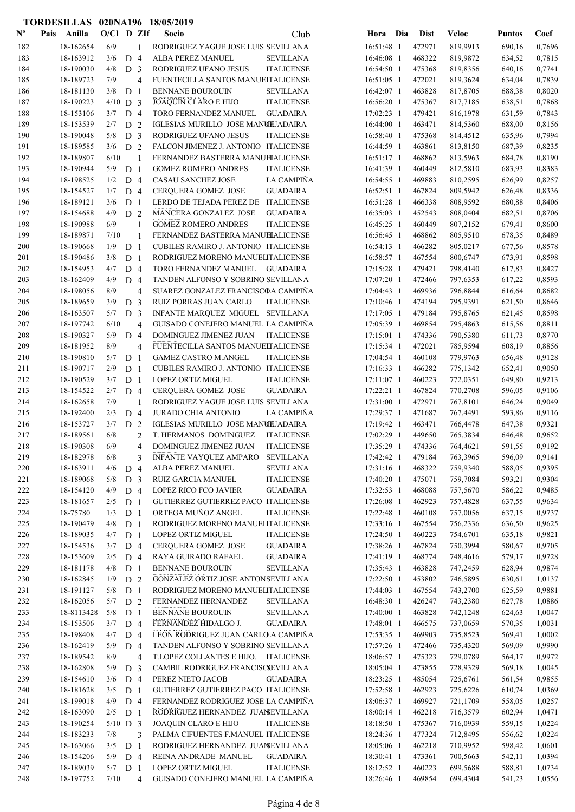|                           | TORDESILLAS 020NA196 18/05/2019 |                   |                |                |                                                                               |                          |                  |                      |                  |                  |
|---------------------------|---------------------------------|-------------------|----------------|----------------|-------------------------------------------------------------------------------|--------------------------|------------------|----------------------|------------------|------------------|
| $\mathbf{N}^{\mathbf{o}}$ | Pais Anilla                     | $O/C1$ D ZIf      |                |                | <b>Socio</b><br>Club                                                          | Hora Dia                 | <b>Dist</b>      | <b>Veloc</b>         | <b>Puntos</b>    | Coef             |
| 182                       | 18-162654                       | 6/9               |                | 1              | RODRIGUEZ YAGUE JOSE LUIS SEVILLANA                                           | 16:51:48 1               | 472971           | 819,9913             | 690,16           | 0,7696           |
| 183                       | 18-163912                       | 3/6               | D <sub>4</sub> |                | ALBA PEREZ MANUEL<br><b>SEVILLANA</b>                                         | 16:46:08 1               | 468322           | 819,9872             | 634,52           | 0,7815           |
| 184                       | 18-190030                       | 4/8               | D <sub>3</sub> |                | RODRIGUEZ UFANO JESUS<br><b>ITALICENSE</b>                                    | 16:54:50 1               | 475368           | 819,8356             | 640,16           | 0,7741           |
| 185                       | 18-189723                       | 7/9               |                | 4              | FUENTECILLA SANTOS MANUELTALICENSE                                            | $16:51:05$ 1             | 472021           | 819,3624             | 634,04           | 0,7839           |
| 186                       | 18-181130                       | 3/8               | D              | $\mathbf{1}$   | <b>BENNANE BOUROUIN</b><br><b>SEVILLANA</b>                                   | 16:42:07 1               | 463828           | 817,8705             | 688,38           | 0,8020           |
| 187                       | 18-190223                       | $4/10$ D 3        |                |                | <b>JOAQUIN CLARO E HIJO</b><br><b>ITALICENSE</b>                              | 16:56:20 1               | 475367           | 817,7185             | 638,51           | 0,7868           |
| 188                       | 18-153106                       | 3/7               | D 4            |                | TORO FERNANDEZ MANUEL<br><b>GUADAIRA</b>                                      | $17:02:23$ 1             | 479421           | 816,1978             | 631,59           | 0,7843           |
| 189                       | 18-153539                       | 2/7               | D              | $\overline{2}$ | IGLESIAS MURILLO JOSE MANCHJADAIRA                                            | 16:44:00 1               | 463471           | 814,5360             | 688,00           | 0,8156           |
| 190                       | 18-190048                       | 5/8               | D <sub>3</sub> |                | RODRIGUEZ UFANO JESUS<br><b>ITALICENSE</b>                                    | 16:58:40 1               | 475368           | 814,4512             | 635,96           | 0,7994           |
| 191                       | 18-189585                       | 3/6               | D <sub>2</sub> |                | FALCON JIMENEZ J. ANTONIO ITALICENSE                                          | 16:44:59 1               | 463861           | 813,8150             | 687,39           | 0,8235           |
| 192                       | 18-189807                       | 6/10              |                | 1              | FERNANDEZ BASTERRA MANUELALICENSE                                             | 16:51:17 1               | 468862           | 813,5963             | 684,78           | 0,8190           |
| 193                       | 18-190944                       | 5/9               | D <sub>1</sub> |                | <b>GOMEZ ROMERO ANDRES</b><br><b>ITALICENSE</b>                               | 16:41:39 1               | 460449           | 812,5810             | 683,93           | 0,8383           |
| 194                       | 18-198525                       | 1/2               | D <sub>4</sub> |                | LA CAMPIÑA<br>CASAU SANCHEZ JOSE                                              | 16:54:55 1               | 469883           | 810,2595             | 626,99           | 0,8257           |
| 195                       | 18-154527                       | 1/7               | D <sub>4</sub> |                | <b>CERQUERA GOMEZ JOSE</b><br><b>GUADAIRA</b>                                 | 16:52:51 1               | 467824           | 809,5942             | 626,48           | 0,8336           |
| 196                       | 18-189121                       | 3/6               | D              | $\overline{1}$ | LERDO DE TEJADA PEREZ DE ITALICENSE                                           | 16:51:28 1               | 466338           | 808,9592             | 680,88           | 0,8406           |
| 197                       | 18-154688                       | 4/9               | D <sub>2</sub> |                | MANCERA GONZALEZ JOSE<br><b>GUADAIRA</b>                                      | $16:35:03$ 1             | 452543           | 808,0404             | 682,51           | 0,8706           |
| 198                       | 18-190988                       | 6/9               |                | 1              | <b>GOMEZ ROMERO ANDRES</b><br><b>ITALICENSE</b>                               | 16:45:25 1               | 460449           | 807,2152             | 679,41           | 0,8600           |
| 199                       | 18-189871                       | 7/10              |                | $\mathbf{1}$   | FERNANDEZ BASTERRA MANUELALICENSE                                             | 16:56:45 1               | 468862           | 805,9510             | 678,35           | 0,8489           |
| 200                       | 18-190668                       | 1/9               | D <sub>1</sub> |                | CUBILES RAMIRO J. ANTONIO ITALICENSE                                          | $16:54:13$ 1             | 466282           | 805,0217             | 677,56           | 0,8578           |
| 201                       | 18-190486                       | 3/8               | D <sub>1</sub> |                | RODRIGUEZ MORENO MANUELITALICENSE                                             | 16:58:57 1               | 467554           | 800,6747             | 673,91           | 0,8598           |
| 202                       | 18-154953                       | 4/7               | D <sub>4</sub> |                | TORO FERNANDEZ MANUEL GUADAIRA                                                | 17:15:28 1               | 479421           | 798,4140             | 617,83           | 0,8427           |
| 203                       | 18-162409                       | 4/9               | D <sub>4</sub> |                | TANDEN ALFONSO Y SOBRINO SEVILLANA                                            | 17:07:20 1               | 472466           | 797,6353             | 617,22           | 0,8593           |
| 204                       | 18-198056                       | 8/9               |                | 4              | SUAREZ GONZALEZ FRANCISCOA CAMPIÑA                                            | 17:04:43 1               | 469936           | 796,8844             | 616,64           | 0,8682           |
| 205                       | 18-189659                       | 3/9               | D <sub>3</sub> |                | RUIZ PORRAS JUAN CARLO<br><b>ITALICENSE</b>                                   | 17:10:46 1               | 474194           | 795,9391             | 621,50           | 0,8646           |
| 206                       | 18-163507                       | 5/7               | D <sub>3</sub> |                | INFANTE MARQUEZ MIGUEL SEVILLANA                                              | 17:17:05 1               | 479184           | 795,8765             | 621,45           | 0,8598           |
| 207                       | 18-197742                       | 6/10              |                | 4              | GUISADO CONEJERO MANUEL LA CAMPIÑA                                            | 17:05:39 1               | 469854           | 795,4863             | 615,56           | 0,8811           |
| 208                       | 18-190327                       | 5/9               | D              | $\overline{4}$ | DOMINGUEZ JIMENEZ JUAN<br><b>ITALICENSE</b>                                   | 17:15:01 1               | 474336           | 790,5380             | 611,73           | 0,8770           |
| 209                       | 18-181952                       | 8/9               |                | 4              | FUENTECILLA SANTOS MANUELTALICENSE                                            | 17:15:34 1               | 472021           | 785,9594             | 608,19           | 0,8856           |
| 210                       | 18-190810                       | 5/7               | D              | $\mathbf{1}$   | <b>GAMEZ CASTRO M.ANGEL</b><br><b>ITALICENSE</b>                              | 17:04:54 1               | 460108           | 779,9763             | 656,48           | 0,9128           |
| 211                       | 18-190717                       | 2/9               | D <sub>1</sub> |                | CUBILES RAMIRO J. ANTONIO ITALICENSE                                          | 17:16:33 1               | 466282           | 775,1342             | 652,41           | 0,9050           |
| 212                       | 18-190529                       | 3/7               | D <sub>1</sub> |                | <b>LOPEZ ORTIZ MIGUEL</b><br><b>ITALICENSE</b>                                | $17:11:07$ 1             | 460223           | 772,0351             | 649,80           | 0,9213           |
| 213                       | 18-154522                       | 2/7               | D 4            |                | <b>GUADAIRA</b><br><b>CERQUERA GOMEZ JOSE</b>                                 | 17:22:21 1               | 467824           | 770,2708             | 596,05           | 0,9106           |
| 214                       | 18-162658                       | 7/9               |                | $\mathbf{1}$   | RODRIGUEZ YAGUE JOSE LUIS SEVILLANA                                           | 17:31:00 1               | 472971           | 767,8101             | 646,24           | 0,9049           |
| 215                       | 18-192400                       | 2/3               | D 4            |                | JURADO CHIA ANTONIO<br>LA CAMPIÑA                                             | 17:29:37 1               | 471687           | 767,4491             | 593,86           | 0,9116           |
| 216                       | 18-153727                       | 3/7               | D 2            |                | IGLESIAS MURILLO JOSE MANUILJADAIRA                                           | 17:19:42 1               | 463471           | 766,4478             | 647,38           | 0,9321           |
| 217                       | 18-189561                       | 6/8               |                | $\overline{2}$ | T. HERMANOS DOMINGUEZ<br><b>ITALICENSE</b>                                    | 17:02:29 1               | 449650           | 765,3834             | 646,48           | 0,9652           |
| 218                       | 18-190308                       | 6/9               |                | 4              | DOMINGUEZ JIMENEZ JUAN<br><b>ITALICENSE</b>                                   | 17:35:29 1               | 474336           | 764,4621             | 591,55           | 0,9192           |
| 219                       | 18-182978                       | 6/8               |                | 3              | INFANTE VAYQUEZ AMPARO SEVILLANA                                              | 17:42:42 1               | 479184           | 763,3965             | 596,09           | 0,9141           |
| 220                       | 18-163911                       | 4/6               | D 4            |                | ALBA PEREZ MANUEL<br><b>SEVILLANA</b>                                         | 17:31:16 1               | 468322           | 759,9340             | 588,05           | 0,9395           |
| 221                       | 18-189068                       | 5/8               | D <sub>3</sub> |                | RUIZ GARCIA MANUEL<br><b>ITALICENSE</b>                                       | 17:40:20 1               | 475071           | 759,7084             | 593,21           | 0,9304           |
| 222                       | 18-154120                       | 4/9               | D 4            |                | <b>LOPEZ RICO FCO JAVIER</b><br><b>GUADAIRA</b>                               | 17:32:53 1               | 468088           | 757,5670             | 586,22           | 0,9485           |
| 223                       | 18-181657                       | 2/5               | D <sub>1</sub> |                | GUTIERREZ GUTIERREZ PACO ITALICENSE                                           | 17:26:08 1               | 462923           | 757,4828             | 637,55           | 0,9634           |
| 224                       | 18-75780                        | 1/3               | D <sub>1</sub> |                | ORTEGA MUÑOZ ANGEL<br><b>ITALICENSE</b>                                       | 17:22:48 1               | 460108           | 757,0056             | 637,15           | 0,9737           |
| 225                       | 18-190479                       | 4/8               | D <sub>1</sub> |                | RODRIGUEZ MORENO MANUELITALICENSE                                             | 17:33:16 1               | 467554           | 756,2336             | 636,50           | 0,9625           |
| 226                       | 18-189035                       | 4/7               | D <sub>1</sub> |                | LOPEZ ORTIZ MIGUEL<br><b>ITALICENSE</b>                                       | 17:24:50 1               | 460223           | 754,6701             | 635,18           | 0,9821           |
| 227                       | 18-154536                       | 3/7               | D 4            |                | CERQUERA GOMEZ JOSE<br><b>GUADAIRA</b>                                        | 17:38:26 1               | 467824           | 750,3994             | 580,67           | 0,9705           |
| 228                       | 18-153609                       | 2/5               | D <sub>4</sub> |                | RAYA GUIRADO RAFAEL<br><b>GUADAIRA</b>                                        | 17:41:19 1               | 468774           | 748,4616             | 579,17           | 0,9728           |
| 229                       | 18-181178                       | 4/8               | D <sub>1</sub> |                | <b>BENNANE BOUROUIN</b><br><b>SEVILLANA</b>                                   | 17:35:43 1               | 463828           | 747,2459             | 628,94           | 0,9874           |
| 230                       | 18-162845                       | 1/9               | D <sub>2</sub> |                | GONZALEZ ORTIZ JOSE ANTONSEVILLANA                                            | 17:22:50 1               | 453802           | 746,5895             | 630,61           | 1,0137           |
| 231                       | 18-191127                       | 5/8               | D <sub>1</sub> |                | RODRIGUEZ MORENO MANUELITALICENSE                                             | 17:44:03 1               | 467554           | 743,2700             | 625,59           | 0,9881           |
| 232                       | 18-162056                       | 5/7               | D <sub>2</sub> |                | FERNANDEZ HERNANDEZ<br>SEVILLANA                                              | 16:48:30 1               | 426247           | 743,2380             | 627,78           | 1,0886           |
| 233                       | 18-8113428                      | 5/8               | $D_1$          |                | BENNANE BOUROUIN<br>${\tt SEVILLANA}$                                         | 17:40:00 1               | 463828           | 742,1248             | 624,63           | 1,0047           |
| 234                       | 18-153506                       | 3/7               | D 4            |                | FERNANDEZ HIDALGO J.<br><b>GUADAIRA</b>                                       | 17:48:01 1               | 466575           | 737,0659             | 570,35           | 1,0031           |
| 235                       | 18-198408                       | 4/7               | D <sub>4</sub> |                | LEON RODRIGUEZ JUAN CARLOLA CAMPIÑA                                           | 17:53:35 1               | 469903           | 735,8523             | 569,41           | 1,0002           |
| 236                       | 18-162419                       | 5/9               | D <sub>4</sub> |                | TANDEN ALFONSO Y SOBRINO SEVILLANA                                            | 17:57:26 1               | 472466           | 735,4320             | 569,09           | 0,9990           |
| 237                       | 18-189542                       | 8/9               |                | $\overline{4}$ | T.LOPEZ COLLANTES E HIJO. ITALICENSE                                          | 18:06:57 1               | 475323           | 729,0789             | 564,17           | 0,9972           |
| 238                       | 18-162808                       | 5/9               | D <sub>3</sub> |                | CAMBIL RODRIGUEZ FRANCISCSEVILLANA                                            | 18:05:04 1               | 473855           | 728,9329             | 569,18           | 1,0045           |
| 239                       | 18-154610                       | 3/6               | D 4            |                | PEREZ NIETO JACOB<br><b>GUADAIRA</b>                                          | 18:23:25 1               | 485054           | 725,6761             | 561,54           | 0,9855           |
| 240                       | 18-181628                       | 3/5               | D <sub>1</sub> |                | GUTIERREZ GUTIERREZ PACO ITALICENSE                                           | 17:52:58 1               | 462923           | 725,6226             | 610,74           | 1,0369           |
| 241                       | 18-199018                       | 4/9               | D <sub>4</sub> |                | FERNANDEZ RODRIGUEZ JOSE LA CAMPIÑA                                           | 18:06:37 1               | 469927           | 721,1709             | 558,05           | 1,0257           |
| 242<br>243                | 18-163090<br>18-190254          | 2/5<br>$5/10$ D 3 | D <sub>1</sub> |                | RODRIGUEZ HERNANDEZ JUANEVILLANA<br>JOAQUIN CLARO E HIJO<br><b>ITALICENSE</b> | 18:00:14 1<br>18:18:50 1 | 462218<br>475367 | 716,3579<br>716,0939 | 602,94<br>559,15 | 1,0471<br>1,0224 |
| 244                       | 18-183233                       | 7/8               |                | 3              | PALMA CIFUENTES F.MANUEL ITALICENSE                                           | 18:24:36 1               | 477324           | 712,8495             | 556,62           | 1,0224           |
| 245                       | 18-163066                       | 3/5               | D <sub>1</sub> |                | RODRIGUEZ HERNANDEZ JUANSEVILLANA                                             | 18:05:06 1               | 462218           | 710,9952             | 598,42           | 1,0601           |
| 246                       | 18-154206                       | 5/9               | D 4            |                | REINA ANDRADE MANUEL<br><b>GUADAIRA</b>                                       | 18:30:41 1               | 473361           | 700,5663             | 542,11           | 1,0394           |
| 247                       | 18-189039                       | $5/7$ D 1         |                |                | LOPEZ ORTIZ MIGUEL<br><b>ITALICENSE</b>                                       | 18:12:52 1               | 460223           | 699,5688             | 588,81           | 1,0734           |
| 248                       | 18-197752                       | 7/10              |                | $\overline{4}$ | GUISADO CONEJERO MANUEL LA CAMPIÑA                                            | 18:26:46 1               | 469854           | 699,4304             | 541,23           | 1,0556           |
|                           |                                 |                   |                |                |                                                                               |                          |                  |                      |                  |                  |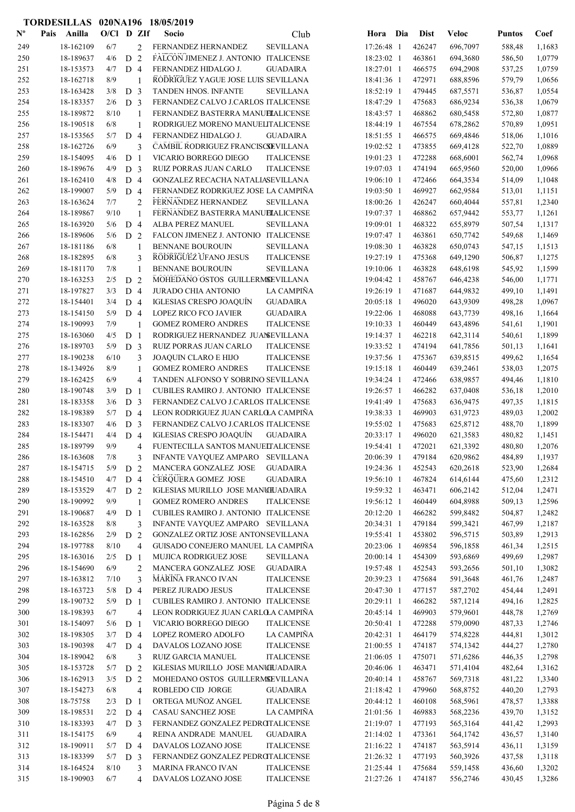|                           | TORDESILLAS 020NA196 18/05/2019 |              |                |                |                                      |                   |            |     |             |              |               |        |
|---------------------------|---------------------------------|--------------|----------------|----------------|--------------------------------------|-------------------|------------|-----|-------------|--------------|---------------|--------|
| $\mathbf{N}^{\mathbf{o}}$ | Pais Anilla                     | $O/C1$ D ZIf |                |                | Socio                                | Club              | Hora       | Dia | <b>Dist</b> | <b>Veloc</b> | <b>Puntos</b> | Coef   |
| 249                       | 18-162109                       | 6/7          |                | 2              | FERNANDEZ HERNANDEZ                  | <b>SEVILLANA</b>  | 17:26:48 1 |     | 426247      | 696,7097     | 588,48        | 1,1683 |
| 250                       | 18-189637                       | 4/6          | ${\rm D}$      | $\overline{2}$ | FALCON JIMENEZ J. ANTONIO ITALICENSE |                   | 18:23:02 1 |     | 463861      | 694,3680     | 586,50        | 1,0779 |
| 251                       | 18-153573                       | 4/7          | D 4            |                | FERNANDEZ HIDALGO J.                 | <b>GUADAIRA</b>   | 18:27:01 1 |     | 466575      | 694,2908     | 537,25        | 1,0759 |
| 252                       | 18-162718                       | 8/9          |                | 1              | RODRIGUEZ YAGUE JOSE LUIS SEVILLANA  |                   | 18:41:36 1 |     | 472971      | 688,8596     | 579,79        | 1,0656 |
| 253                       | 18-163428                       | 3/8          | D <sub>3</sub> |                | TANDEN HNOS. INFANTE                 | <b>SEVILLANA</b>  | 18:52:19 1 |     | 479445      | 687,5571     | 536,87        | 1,0554 |
| 254                       | 18-183357                       | 2/6          | D <sub>3</sub> |                | FERNANDEZ CALVO J.CARLOS ITALICENSE  |                   | 18:47:29 1 |     | 475683      | 686,9234     | 536,38        | 1,0679 |
| 255                       | 18-189872                       | 8/10         |                | 1              | FERNANDEZ BASTERRA MANUELALICENSE    |                   | 18:43:57 1 |     | 468862      | 680,5458     | 572,80        | 1,0877 |
| 256                       | 18-190518                       | 6/8          |                | $\mathbf{1}$   | RODRIGUEZ MORENO MANUELITALICENSE    |                   | 18:44:19 1 |     | 467554      | 678,2862     | 570,89        | 1,0951 |
| 257                       | 18-153565                       | 5/7          | D 4            |                | FERNANDEZ HIDALGO J.                 | <b>GUADAIRA</b>   | 18:51:55 1 |     | 466575      | 669,4846     | 518,06        | 1,1016 |
| 258                       | 18-162726                       | 6/9          |                | 3              | CAMBIL RODRIGUEZ FRANCISCSEVILLANA   |                   | 19:02:52 1 |     | 473855      | 669,4128     | 522,70        | 1,0889 |
| 259                       | 18-154095                       | 4/6          | D <sub>1</sub> |                | VICARIO BORREGO DIEGO                | <b>ITALICENSE</b> | 19:01:23 1 |     | 472288      | 668,6001     | 562,74        | 1,0968 |
| 260                       | 18-189676                       | 4/9          | D <sub>3</sub> |                | RUIZ PORRAS JUAN CARLO               | <b>ITALICENSE</b> | 19:07:03 1 |     | 474194      | 665,9560     | 520,00        | 1,0966 |
| 261                       | 18-162410                       | 4/8          | D 4            |                | GONZALEZ RECACHA NATALIASEVILLANA    |                   | 19:06:10 1 |     | 472466      | 664,3534     | 514,09        | 1,1048 |
| 262                       | 18-199007                       | 5/9          | D <sub>4</sub> |                | FERNANDEZ RODRIGUEZ JOSE LA CAMPIÑA  |                   | 19:03:50 1 |     | 469927      | 662,9584     | 513,01        | 1,1151 |
| 263                       | 18-163624                       | 7/7          |                | $\overline{2}$ | FERNANDEZ HERNANDEZ                  | SEVILLANA         | 18:00:26 1 |     | 426247      | 660,4044     | 557,81        | 1,2340 |
| 264                       | 18-189867                       | 9/10         |                | 1              | FERNANDEZ BASTERRA MANUELALICENSE    |                   | 19:07:37 1 |     | 468862      | 657,9442     | 553,77        | 1,1261 |
| 265                       | 18-163920                       | 5/6          | D <sub>4</sub> |                | ALBA PEREZ MANUEL                    | <b>SEVILLANA</b>  | 19:09:01 1 |     | 468322      | 655,8979     | 507,54        | 1,1317 |
| 266                       | 18-189606                       | 5/6          | D <sub>2</sub> |                | FALCON JIMENEZ J. ANTONIO ITALICENSE |                   | 19:07:47 1 |     | 463861      | 650,7742     | 549,68        | 1,1469 |
| 267                       | 18-181186                       | 6/8          |                | 1              | <b>BENNANE BOUROUIN</b>              | <b>SEVILLANA</b>  | 19:08:30 1 |     | 463828      | 650,0743     | 547,15        | 1,1513 |
| 268                       | 18-182895                       | 6/8          |                | 3              | RODRIGUEZ UFANO JESUS                | <b>ITALICENSE</b> | 19:27:19 1 |     | 475368      | 649,1290     | 506,87        | 1,1275 |
| 269                       | 18-181170                       | 7/8          |                | $\mathbf{1}$   | <b>BENNANE BOUROUIN</b>              | <b>SEVILLANA</b>  | 19:10:06 1 |     | 463828      | 648,6198     | 545,92        | 1,1599 |
| 270                       | 18-163253                       | 2/5          | D 2            |                | MOHEDANO OSTOS GUILLERMSEVILLANA     |                   | 19:04:42 1 |     | 458767      | 646,4238     | 546,00        | 1,1771 |
| 271                       | 18-197827                       | 3/3          | D <sub>4</sub> |                | <b>JURADO CHIA ANTONIO</b>           | LA CAMPIÑA        | 19:26:19 1 |     | 471687      | 644,9832     | 499,10        | 1,1491 |
| 272                       | 18-154401                       | 3/4          | D 4            |                | IGLESIAS CRESPO JOAQUÍN              | <b>GUADAIRA</b>   | 20:05:18 1 |     | 496020      | 643,9309     | 498,28        | 1,0967 |
| 273                       | 18-154150                       | 5/9          | D <sub>4</sub> |                | LOPEZ RICO FCO JAVIER                | <b>GUADAIRA</b>   | 19:22:06 1 |     | 468088      | 643,7739     | 498,16        | 1,1664 |
| 274                       | 18-190993                       | 7/9          |                | 1              | <b>GOMEZ ROMERO ANDRES</b>           | <b>ITALICENSE</b> | 19:10:33 1 |     | 460449      | 643,4896     | 541,61        | 1,1901 |
| 275                       | 18-163060                       | 4/5          | D <sub>1</sub> |                | RODRIGUEZ HERNANDEZ JUANSEVILLANA    |                   | 19:14:37 1 |     | 462218      | 642,3114     | 540,61        | 1,1899 |
| 276                       | 18-189703                       | 5/9          | D <sub>3</sub> |                | RUIZ PORRAS JUAN CARLO               | <b>ITALICENSE</b> | 19:33:52 1 |     | 474194      | 641,7856     | 501,13        | 1,1641 |
| 277                       | 18-190238                       | 6/10         |                | 3              | JOAQUIN CLARO E HIJO                 | <b>ITALICENSE</b> | 19:37:56 1 |     | 475367      | 639,8515     | 499,62        | 1,1654 |
| 278                       | 18-134926                       | 8/9          |                | $\mathbf{1}$   | <b>GOMEZ ROMERO ANDRES</b>           | <b>ITALICENSE</b> | 19:15:18 1 |     | 460449      | 639,2461     | 538,03        | 1,2075 |
| 279                       | 18-162425                       | 6/9          |                | 4              | TANDEN ALFONSO Y SOBRINO SEVILLANA   |                   | 19:34:24 1 |     | 472466      | 638,9857     | 494,46        | 1,1810 |
| 280                       | 18-190748                       | 3/9          | D              | $\overline{1}$ | CUBILES RAMIRO J. ANTONIO ITALICENSE |                   | 19:26:57 1 |     | 466282      | 637,0408     | 536,18        | 1,2010 |
| 281                       | 18-183358                       | 3/6          | D <sub>3</sub> |                | FERNANDEZ CALVO J.CARLOS ITALICENSE  |                   | 19:41:49 1 |     | 475683      | 636,9475     | 497,35        | 1,1815 |
| 282                       | 18-198389                       | 5/7          | D 4            |                | LEON RODRIGUEZ JUAN CARLOLA CAMPIÑA  |                   | 19:38:33 1 |     | 469903      | 631,9723     | 489,03        | 1,2002 |
| 283                       | 18-183307                       | 4/6          | D <sub>3</sub> |                | FERNANDEZ CALVO J.CARLOS ITALICENSE  |                   | 19:55:02 1 |     | 475683      | 625,8712     | 488,70        | 1,1899 |
| 284                       | 18-154471                       | 4/4          | D <sub>4</sub> |                | IGLESIAS CRESPO JOAQUÍN              | <b>GUADAIRA</b>   | 20:33:17 1 |     | 496020      | 621,3583     | 480,82        | 1,1451 |
| 285                       | 18-189799                       | 9/9          |                | 4              | FUENTECILLA SANTOS MANUELTALICENSE   |                   | 19:54:41 1 |     | 472021      | 621,3392     | 480,80        | 1,2076 |
| 286                       | 18-163608                       | 7/8          |                | 3              | INFANTE VAYQUEZ AMPARO               | <b>SEVILLANA</b>  | 20:06:39 1 |     | 479184      | 620,9862     | 484,89        | 1,1937 |
| 287                       | 18-154715                       | 5/9          | D <sub>2</sub> |                | MANCERA GONZALEZ JOSE                | <b>GUADAIRA</b>   | 19:24:36 1 |     | 452543      | 620,2618     | 523,90        | 1,2684 |
| 288                       | 18-154510                       | 4/7          | D 4            |                | CERQUERA GOMEZ JOSE                  | <b>GUADAIRA</b>   | 19:56:10 1 |     | 467824      | 614,6144     | 475,60        | 1,2312 |
| 289                       | 18-153529                       | 4/7          | D <sub>2</sub> |                | IGLESIAS MURILLO JOSE MANUILJADAIRA  |                   | 19:59:32 1 |     | 463471      | 606,2142     | 512,04        | 1,2471 |
| 290                       | 18-190992                       | 9/9          |                | $\mathbf{1}$   | <b>GOMEZ ROMERO ANDRES</b>           | <b>ITALICENSE</b> | 19:56:12 1 |     | 460449      | 604,8988     | 509,13        | 1,2596 |
| 291                       | 18-190687                       | 4/9          | D <sub>1</sub> |                | CUBILES RAMIRO J. ANTONIO ITALICENSE |                   | 20:12:20 1 |     | 466282      | 599,8482     | 504,87        | 1,2482 |
| 292                       | 18-163528                       | 8/8          |                | 3              | INFANTE VAYQUEZ AMPARO SEVILLANA     |                   | 20:34:31 1 |     | 479184      | 599,3421     | 467,99        | 1,2187 |
| 293                       | 18-162856                       | 2/9          | $\mathbf D$    | 2              | GONZALEZ ORTIZ JOSE ANTONSEVILLANA   |                   | 19:55:41 1 |     | 453802      | 596,5715     | 503,89        | 1,2913 |
| 294                       | 18-197788                       | 8/10         |                | $\overline{4}$ | GUISADO CONEJERO MANUEL LA CAMPIÑA   |                   | 20:23:06 1 |     | 469854      | 596,1858     | 461,34        | 1,2515 |
| 295                       | 18-163016                       | 2/5          | D <sub>1</sub> |                | MUJICA RODRIGUEZ JOSE                | <b>SEVILLANA</b>  | 20:00:14 1 |     | 454309      | 593,6869     | 499,69        | 1,2987 |
| 296                       | 18-154690                       | 6/9          |                | $\overline{c}$ | MANCERA GONZALEZ JOSE                | <b>GUADAIRA</b>   | 19:57:48 1 |     | 452543      | 593,2656     | 501,10        | 1,3082 |
| 297                       | 18-163812                       | 7/10         |                | 3              | MARINA FRANCO IVAN                   | <b>ITALICENSE</b> | 20:39:23 1 |     | 475684      | 591,3648     | 461,76        | 1,2487 |
| 298                       | 18-163723                       | 5/8          | D <sub>4</sub> |                | PEREZ JURADO JESUS                   | <b>ITALICENSE</b> | 20:47:30 1 |     | 477157      | 587,2702     | 454,44        | 1,2491 |
| 299                       | 18-190732                       | 5/9          | D <sub>1</sub> |                | CUBILES RAMIRO J. ANTONIO ITALICENSE |                   | 20:29:11 1 |     | 466282      | 587,1214     | 494,16        | 1,2825 |
| 300                       | 18-198393                       | 6/7          |                | 4              | LEON RODRIGUEZ JUAN CARLOLA CAMPIÑA  |                   | 20:45:14 1 |     | 469903      | 579,9601     | 448,78        | 1,2769 |
| 301                       | 18-154097                       | 5/6          | D <sub>1</sub> |                | VICARIO BORREGO DIEGO                | <b>ITALICENSE</b> | 20:50:41 1 |     | 472288      | 579,0090     | 487,33        | 1,2746 |
| 302                       | 18-198305                       | 3/7          | D <sub>4</sub> |                | LOPEZ ROMERO ADOLFO                  | LA CAMPIÑA        | 20:42:31 1 |     | 464179      | 574,8228     | 444,81        | 1,3012 |
| 303                       | 18-190398                       | 4/7          | D <sub>4</sub> |                | DAVALOS LOZANO JOSE                  | <b>ITALICENSE</b> | 21:00:55 1 |     | 474187      | 574,1342     | 444,27        | 1,2780 |
| 304                       | 18-189042                       | 6/8          |                | 3              | RUIZ GARCIA MANUEL                   | <b>ITALICENSE</b> | 21:06:05 1 |     | 475071      | 571,6286     | 446,35        | 1,2798 |
| 305                       | 18-153728                       | 5/7          | D <sub>2</sub> |                | IGLESIAS MURILLO JOSE MANUILJADAIRA  |                   | 20:46:06 1 |     | 463471      | 571,4104     | 482,64        | 1,3162 |
| 306                       | 18-162913                       | 3/5          | D <sub>2</sub> |                | MOHEDANO OSTOS GUILLERMSEVILLANA     |                   | 20:40:14 1 |     | 458767      | 569,7318     | 481,22        | 1,3340 |
| 307                       | 18-154273                       | $6/8$        |                | 4              | ROBLEDO CID JORGE                    | GUADAIRA          | 21:18:42 1 |     | 479960      | 568,8752     | 440,20        | 1,2793 |
| 308                       | 18-75758                        | 2/3          | D <sub>1</sub> |                | ORTEGA MUÑOZ ANGEL                   | <b>ITALICENSE</b> | 20:44:12 1 |     | 460108      | 568,5961     | 478,57        | 1,3388 |
| 309                       | 18-198531                       | 2/2          | D 4            |                | <b>CASAU SANCHEZ JOSE</b>            | LA CAMPIÑA        | 21:01:56 1 |     | 469883      | 568,2236     | 439,70        | 1,3152 |
| 310                       | 18-183393                       | 4/7          | D <sub>3</sub> |                | FERNANDEZ GONZALEZ PEDROTALICENSE    |                   | 21:19:07 1 |     | 477193      | 565,3164     | 441,42        | 1,2993 |
| 311                       | 18-154175                       | 6/9          |                | $\overline{4}$ | REINA ANDRADE MANUEL                 | <b>GUADAIRA</b>   | 21:14:02 1 |     | 473361      | 564,1742     | 436,57        | 1,3140 |
| 312                       | 18-190911                       | 5/7          | D 4            |                | DAVALOS LOZANO JOSE                  | <b>ITALICENSE</b> | 21:16:22 1 |     | 474187      | 563,5914     | 436,11        | 1,3159 |
| 313                       | 18-183399                       | 5/7          | D <sub>3</sub> |                | FERNANDEZ GONZALEZ PEDROTALICENSE    |                   | 21:26:32 1 |     | 477193      | 560,3926     | 437,58        | 1,3118 |
| 314                       | 18-164524                       | 8/10         |                | 3              | <b>MARINA FRANCO IVAN</b>            | <b>ITALICENSE</b> | 21:25:44 1 |     | 475684      | 559,1458     | 436,60        | 1,3202 |
| 315                       | 18-190903                       | 6/7          |                | 4              | DAVALOS LOZANO JOSE                  | <b>ITALICENSE</b> | 21:27:26 1 |     | 474187      | 556,2746     | 430,45        | 1,3286 |
|                           |                                 |              |                |                |                                      |                   |            |     |             |              |               |        |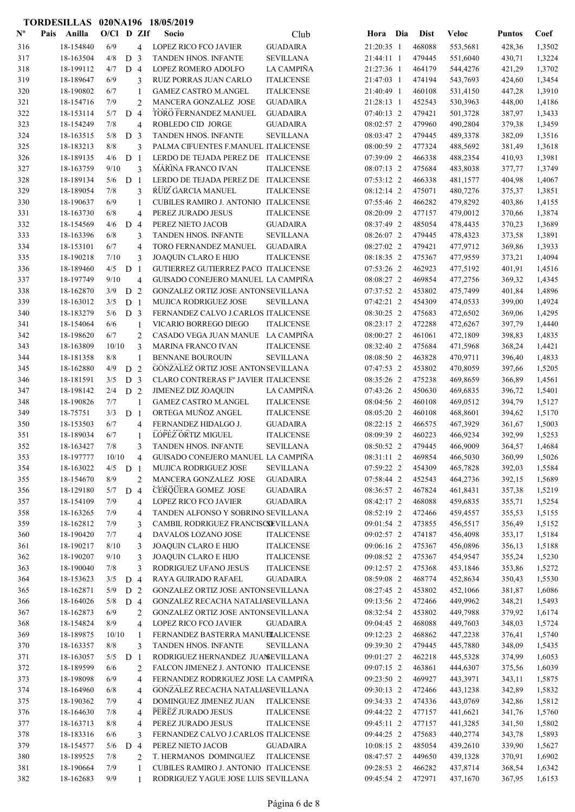|                           | TORDESILLAS 020NA196 18/05/2019 |              |                |                |                                           |                   |            |             |              |               |        |
|---------------------------|---------------------------------|--------------|----------------|----------------|-------------------------------------------|-------------------|------------|-------------|--------------|---------------|--------|
| $\mathbf{N}^{\mathbf{o}}$ | Pais<br>Anilla                  | $O/C1$ D ZIf |                |                | Socio                                     | Club              | Hora Dia   | <b>Dist</b> | <b>Veloc</b> | <b>Puntos</b> | Coef   |
| 316                       | 18-154840                       | 6/9          |                | 4              | LOPEZ RICO FCO JAVIER                     | <b>GUADAIRA</b>   | 21:20:35 1 | 468088      | 553,5681     | 428,36        | 1,3502 |
| 317                       | 18-163504                       | 4/8          | D <sub>3</sub> |                | TANDEN HNOS. INFANTE                      | <b>SEVILLANA</b>  | 21:44:11 1 | 479445      | 551,6040     | 430,71        | 1,3224 |
| 318                       | 18-199112                       | 4/7          | $D_4$          |                | LOPEZ ROMERO ADOLFO                       | LA CAMPIÑA        | 21:27:36 1 | 464179      | 544,4276     | 421,29        | 1,3702 |
| 319                       | 18-189647                       | 6/9          |                | 3              | RUIZ PORRAS JUAN CARLO                    | <b>ITALICENSE</b> | 21:47:03 1 | 474194      | 543,7693     | 424,60        | 1,3454 |
| 320                       | 18-190802                       | 6/7          |                | $\mathbf{1}$   | <b>GAMEZ CASTRO M.ANGEL</b>               | <b>ITALICENSE</b> | 21:40:49 1 | 460108      | 531,4150     | 447,28        | 1,3910 |
| 321                       | 18-154716                       | 7/9          |                | $\overline{2}$ | MANCERA GONZALEZ JOSE                     | <b>GUADAIRA</b>   | 21:28:13 1 | 452543      | 530,3963     | 448,00        | 1,4186 |
| 322                       | 18-153114                       | 5/7          | D <sub>4</sub> |                | TORO FERNANDEZ MANUEL                     | <b>GUADAIRA</b>   | 07:40:13 2 | 479421      | 501,3728     | 387,97        | 1,3433 |
| 323                       | 18-154249                       | 7/8          |                | $\overline{4}$ | ROBLEDO CID JORGE                         | <b>GUADAIRA</b>   | 08:02:57 2 | 479960      | 490,2804     | 379,38        | 1,3459 |
| 324                       | 18-163515                       | 5/8          | D <sub>3</sub> |                | TANDEN HNOS. INFANTE                      | <b>SEVILLANA</b>  | 08:03:47 2 | 479445      | 489,3378     | 382,09        | 1,3516 |
| 325                       | 18-183213                       | 8/8          |                | 3              | PALMA CIFUENTES F.MANUEL ITALICENSE       |                   | 08:00:59 2 | 477324      | 488,5692     | 381,49        | 1,3618 |
| 326                       | 18-189135                       | 4/6          | D <sub>1</sub> |                | LERDO DE TEJADA PEREZ DE ITALICENSE       |                   | 07:39:09 2 | 466338      | 488,2354     | 410,93        | 1,3981 |
| 327                       | 18-163759                       | 9/10         |                | 3              | <b>MARINA FRANCO IVAN</b>                 | <b>ITALICENSE</b> | 08:07:13 2 | 475684      | 483,8038     | 377,77        | 1,3749 |
| 328                       | 18-189134                       | 5/6          | D <sub>1</sub> |                | LERDO DE TEJADA PEREZ DE ITALICENSE       |                   | 07:53:12 2 | 466338      | 481,1577     | 404,98        | 1,4067 |
| 329                       | 18-189054                       | 7/8          |                | 3              | RUIZ GARCIA MANUEL                        | <b>ITALICENSE</b> | 08:12:14 2 | 475071      | 480,7276     | 375,37        | 1,3851 |
| 330                       | 18-190637                       | 6/9          |                | 1              | CUBILES RAMIRO J. ANTONIO ITALICENSE      |                   | 07:55:46 2 | 466282      | 479,8292     | 403,86        | 1,4155 |
| 331                       | 18-163730                       | 6/8          |                | $\overline{4}$ | PEREZ JURADO JESUS                        | <b>ITALICENSE</b> | 08:20:09 2 | 477157      | 479,0012     | 370,66        | 1,3874 |
| 332                       | 18-154569                       | 4/6          | D <sub>4</sub> |                | PEREZ NIETO JACOB                         | <b>GUADAIRA</b>   | 08:37:49 2 | 485054      | 478,4435     | 370,23        | 1,3689 |
| 333                       | 18-163396                       | 6/8          |                | 3              | <b>TANDEN HNOS. INFANTE</b>               | <b>SEVILLANA</b>  | 08:26:07 2 | 479445      | 478,4323     | 373,58        | 1,3891 |
| 334                       | 18-153101                       | 6/7          |                | $\overline{4}$ | TORO FERNANDEZ MANUEL                     | <b>GUADAIRA</b>   | 08:27:02 2 | 479421      | 477,9712     | 369,86        | 1,3933 |
| 335                       | 18-190218                       | 7/10         |                | 3              | <b>JOAQUIN CLARO E HIJO</b>               | <b>ITALICENSE</b> | 08:18:35 2 | 475367      | 477,9559     | 373,21        | 1,4094 |
| 336                       | 18-189460                       | 4/5          | D              | $\overline{1}$ | GUTIERREZ GUTIERREZ PACO ITALICENSE       |                   | 07:53:26 2 | 462923      | 477,5192     | 401,91        | 1,4516 |
| 337                       | 18-197749                       | 9/10         |                | $\overline{4}$ | GUISADO CONEJERO MANUEL LA CAMPIÑA        |                   | 08:08:27 2 | 469854      | 477,2756     | 369,32        | 1,4345 |
| 338                       | 18-162870                       | 3/9          | D <sub>2</sub> |                | <b>GONZALEZ ORTIZ JOSE ANTONSEVILLANA</b> |                   | 07:37:52 2 | 453802      | 475,7499     | 401,84        | 1,4896 |
| 339                       | 18-163012                       | 3/5          | D <sub>1</sub> |                | <b>MUJICA RODRIGUEZ JOSE</b>              | <b>SEVILLANA</b>  | 07:42:21 2 | 454309      | 474,0533     | 399,00        | 1,4924 |
| 340                       | 18-183279                       | 5/6          | D <sub>3</sub> |                | FERNANDEZ CALVO J.CARLOS ITALICENSE       |                   | 08:30:25 2 | 475683      | 472,6502     | 369,06        | 1,4295 |
| 341                       | 18-154064                       | 6/6          |                | 1              | VICARIO BORREGO DIEGO                     | <b>ITALICENSE</b> | 08:23:17 2 | 472288      | 472,6267     | 397,79        | 1,4440 |
| 342                       | 18-198620                       | 6/7          |                | $\overline{2}$ | CASADO VEGA JUAN MANUE LA CAMPIÑA         |                   | 08:00:27 2 | 461061      | 472,1809     | 398,83        | 1,4835 |
| 343                       | 18-163809                       | 10/10        |                | 3              | <b>MARINA FRANCO IVAN</b>                 | <b>ITALICENSE</b> | 08:32:40 2 | 475684      | 471,5968     | 368,24        | 1,4421 |
| 344                       | 18-181358                       | 8/8          |                | 1              | <b>BENNANE BOUROUIN</b>                   | <b>SEVILLANA</b>  | 08:08:50 2 | 463828      | 470,9711     | 396,40        | 1,4833 |
| 345                       | 18-162880                       | 4/9          | D              | $\overline{2}$ | GONZALEZ ORTIZ JOSE ANTONSEVILLANA        |                   | 07:47:53 2 | 453802      | 470,8059     | 397,66        | 1,5205 |
| 346                       | 18-181591                       | 3/5          | D <sub>3</sub> |                | CLARO CONTRERAS Fº JAVIER ITALICENSE      |                   | 08:35:26 2 | 475238      | 469,8659     | 366,89        | 1,4561 |
| 347                       | 18-198142                       | 2/4          | D <sub>2</sub> |                | JIMENEZ DIZ JOAQUIN                       | LA CAMPIÑA        | 07:43:26 2 | 450630      | 469,6835     | 396,72        | 1,5401 |
| 348                       | 18-190826                       | 7/7          |                | 1              | <b>GAMEZ CASTRO M.ANGEL</b>               | <b>ITALICENSE</b> | 08:04:56 2 | 460108      | 469,0512     | 394,79        | 1,5127 |
| 349                       | 18-75751                        | 3/3          | D <sub>1</sub> |                | ORTEGA MUÑOZ ANGEL                        | <b>ITALICENSE</b> | 08:05:20 2 | 460108      | 468,8601     | 394,62        | 1,5170 |
| 350                       | 18-153503                       | 6/7          |                | $\overline{4}$ | FERNANDEZ HIDALGO J.                      | <b>GUADAIRA</b>   | 08:22:15 2 | 466575      | 467,3929     | 361,67        | 1,5003 |
| 351                       | 18-189034                       | 6/7          |                | $\mathbf{1}$   | LOPEZ ORTIZ MIGUEL                        | <b>ITALICENSE</b> | 08:09:39 2 | 460223      | 466,9234     | 392,99        | 1,5253 |
| 352                       | 18-163427                       | 7/8          |                | 3              | TANDEN HNOS. INFANTE                      | <b>SEVILLANA</b>  | 08:50:52 2 | 479445      | 466,9009     | 364,57        | 1,4684 |
| 353                       | 18-197777                       | 10/10        |                | 4              | GUISADO CONEJERO MANUEL LA CAMPIÑA        |                   | 08:31:11 2 | 469854      | 466,5030     | 360,99        | 1,5026 |
| 354                       | 18-163022                       | 4/5          | D <sub>1</sub> |                | MUJICA RODRIGUEZ JOSE                     | <b>SEVILLANA</b>  | 07:59:22 2 | 454309      | 465,7828     | 392,03        | 1,5584 |
| 355                       | 18-154670                       | 8/9          |                | $\overline{2}$ | MANCERA GONZALEZ JOSE                     | <b>GUADAIRA</b>   | 07:58:44 2 | 452543      | 464,2736     | 392,15        | 1,5689 |
| 356                       | 18-129180                       | 5/7          | D 4            |                | CERQUERA GOMEZ JOSE                       | <b>GUADAIRA</b>   | 08:36:57 2 | 467824      | 461,8431     | 357,38        | 1,5219 |
| 357                       | 18-154109                       | 7/9          |                | $\overline{4}$ | <b>LOPEZ RICO FCO JAVIER</b>              | <b>GUADAIRA</b>   | 08:42:17 2 | 468088      | 459,6835     | 355,71        | 1,5254 |
| 358                       | 18-163265                       | 7/9          |                | $\overline{4}$ | TANDEN ALFONSO Y SOBRINO SEVILLANA        |                   | 08:52:19 2 | 472466      | 459,4557     | 355,53        | 1,5155 |
| 359                       | 18-162812                       | 7/9          |                | 3              | CAMBIL RODRIGUEZ FRANCISCSEVILLANA        |                   | 09:01:54 2 | 473855      | 456,5517     | 356,49        | 1,5152 |
| 360                       | 18-190420                       | 7/7          |                | $\overline{4}$ | DAVALOS LOZANO JOSE                       | <b>ITALICENSE</b> | 09:02:57 2 | 474187      | 456,4098     | 353,17        | 1,5184 |
| 361                       | 18-190217                       | 8/10         |                | 3              | JOAQUIN CLARO E HIJO                      | <b>ITALICENSE</b> | 09:06:16 2 | 475367      | 456,0896     | 356,13        | 1,5188 |
| 362                       | 18-190207                       | 9/10         |                | 3              | JOAQUIN CLARO E HIJO                      | <b>ITALICENSE</b> | 09:08:52 2 | 475367      | 454,9547     | 355,24        | 1,5230 |
| 363                       | 18-190040                       | 7/8          |                | 3              | RODRIGUEZ UFANO JESUS                     | <b>ITALICENSE</b> | 09:12:57 2 | 475368      | 453,1846     | 353,86        | 1,5272 |
| 364                       | 18-153623                       | 3/5          | D 4            |                | RAYA GUIRADO RAFAEL                       | <b>GUADAIRA</b>   | 08:59:08 2 | 468774      | 452,8634     | 350,43        | 1,5530 |
| 365                       | 18-162871                       | 5/9          | D <sub>2</sub> |                | GONZALEZ ORTIZ JOSE ANTONSEVILLANA        |                   | 08:27:45 2 | 453802      | 452,1066     | 381,87        | 1,6086 |
| 366                       | 18-164026                       | 5/8          | D <sub>4</sub> |                | GONZALEZ RECACHA NATALIASEVILLANA         |                   | 09:13:56 2 | 472466      | 449,9962     | 348,21        | 1,5493 |
| 367                       | 18-162873                       | 6/9          |                | $\overline{c}$ | GONZALEZ ORTIZ JOSE ANTONSEVILLANA        |                   | 08:32:54 2 | 453802      | 449,7988     | 379,92        | 1,6174 |
| 368                       | 18-154824                       | 8/9          |                | $\overline{4}$ | LOPEZ RICO FCO JAVIER                     | <b>GUADAIRA</b>   | 09:04:45 2 | 468088      | 449,7603     | 348,03        | 1,5724 |
| 369                       | 18-189875                       | 10/10        |                | 1              | FERNANDEZ BASTERRA MANUELALICENSE         |                   | 09:12:23 2 | 468862      | 447,2238     | 376,41        | 1,5740 |
| 370                       | 18-163357                       | 8/8          |                | 3              | TANDEN HNOS. INFANTE                      | <b>SEVILLANA</b>  | 09:39:30 2 | 479445      | 445,7880     | 348,09        | 1,5435 |
| 371                       | 18-163057                       | 5/5          | D <sub>1</sub> |                | RODRIGUEZ HERNANDEZ JUANEVILLANA          |                   | 09:01:27 2 | 462218      | 445,5328     | 374,99        | 1,6053 |
| 372                       | 18-189599                       | 6/6          |                | 2              | FALCON JIMENEZ J. ANTONIO ITALICENSE      |                   | 09:07:15 2 | 463861      | 444,6307     | 375,56        | 1,6039 |
| 373                       | 18-198098                       | 6/9          |                | $\overline{4}$ | FERNANDEZ RODRIGUEZ JOSE LA CAMPIÑA       |                   | 09:23:50 2 | 469927      | 443,3971     | 343,11        | 1,5875 |
| 374                       | 18-164960                       | 6/8          |                | 4              | GONZALEZ RECACHA NATALIASEVILLANA         |                   | 09:30:13 2 | 472466      | 443,1238     | 342,89        | 1,5832 |
| 375                       | 18-190362                       | 7/9          |                | 4              | DOMINGUEZ JIMENEZ JUAN                    | <b>ITALICENSE</b> | 09:34:33 2 | 474336      | 443,0769     | 342,86        | 1,5812 |
| 376                       | 18-164630                       | 7/8          |                | $\overline{4}$ | PEREZ JURADO JESUS                        | <b>ITALICENSE</b> | 09:44:22 2 | 477157      | 441,6621     | 341,76        | 1,5760 |
| 377                       | 18-163713                       | 8/8          |                | 4              | PEREZ JURADO JESUS                        | <b>ITALICENSE</b> | 09:45:11 2 | 477157      | 441,3285     | 341,50        | 1,5802 |
| 378                       | 18-183316                       | 6/6          |                | 3              | FERNANDEZ CALVO J.CARLOS ITALICENSE       |                   | 09:44:25 2 | 475683      | 440,2774     | 343,78        | 1,5893 |
| 379                       | 18-154577                       | 5/6          | D 4            |                | PEREZ NIETO JACOB                         | <b>GUADAIRA</b>   | 10:08:15 2 | 485054      | 439,2610     | 339,90        | 1,5627 |
| 380                       | 18-189525                       | 7/8          |                | $\overline{2}$ | T. HERMANOS DOMINGUEZ                     | <b>ITALICENSE</b> | 08:47:57 2 | 449650      | 439,1328     | 370,91        | 1,6902 |
| 381                       | 18-190664                       | 7/9          |                | $\mathbf{1}$   | CUBILES RAMIRO J. ANTONIO ITALICENSE      |                   | 09:28:53 2 | 466282      | 437,8714     | 368,54        | 1,6342 |
| 382                       | 18-162683                       | 9/9          |                | $\mathbf{1}$   | RODRIGUEZ YAGUE JOSE LUIS SEVILLANA       |                   | 09:45:54 2 | 472971      | 437,1670     | 367,95        | 1,6153 |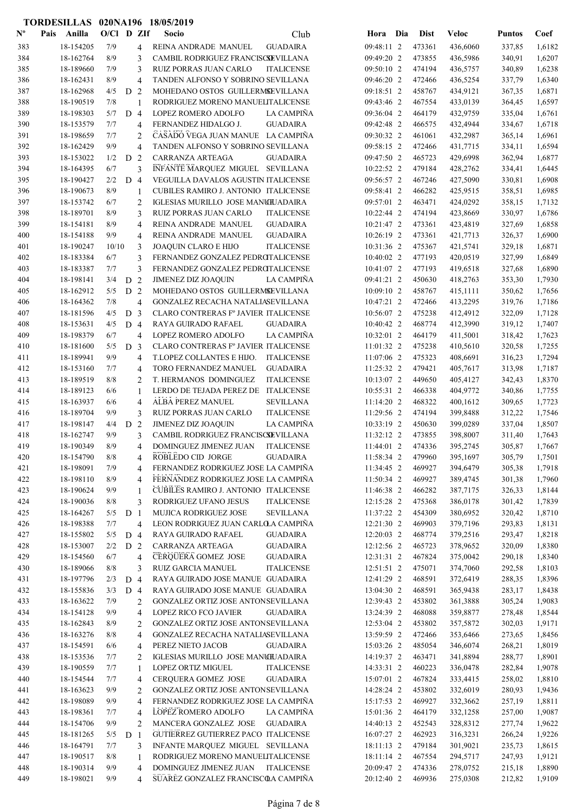|                           | TORDESILLAS 020NA196 18/05/2019 |              |                |                |                                      |                   |              |             |              |               |        |
|---------------------------|---------------------------------|--------------|----------------|----------------|--------------------------------------|-------------------|--------------|-------------|--------------|---------------|--------|
| $\mathbf{N}^{\mathbf{o}}$ | Anilla<br>Pais                  | $O/CI$ D ZIf |                |                | Socio                                | Club              | Hora Dia     | <b>Dist</b> | <b>Veloc</b> | <b>Puntos</b> | Coef   |
| 383                       | 18-154205                       | 7/9          |                | 4              | REINA ANDRADE MANUEL                 | <b>GUADAIRA</b>   | 09:48:11 2   | 473361      | 436,6060     | 337,85        | 1,6182 |
| 384                       | 18-162764                       | 8/9          |                | 3              | CAMBIL RODRIGUEZ FRANCISCSEVILLANA   |                   | 09:49:20 2   | 473855      | 436,5986     | 340,91        | 1,6207 |
| 385                       | 18-189660                       | 7/9          |                | 3              | RUIZ PORRAS JUAN CARLO               | <b>ITALICENSE</b> | 09:50:10 2   | 474194      | 436,5757     | 340,89        | 1,6238 |
| 386                       | 18-162431                       | 8/9          |                | $\overline{4}$ | TANDEN ALFONSO Y SOBRINO SEVILLANA   |                   | 09:46:20 2   | 472466      | 436,5254     | 337,79        | 1,6340 |
| 387                       | 18-162968                       | 4/5          | D <sub>2</sub> |                | MOHEDANO OSTOS GUILLERMSEVILLANA     |                   | 09:18:51 2   | 458767      | 434,9121     | 367,35        | 1,6871 |
| 388                       | 18-190519                       | 7/8          |                | $\mathbf{1}$   | RODRIGUEZ MORENO MANUELITALICENSE    |                   | 09:43:46 2   | 467554      | 433,0139     | 364,45        | 1,6597 |
| 389                       | 18-198303                       | 5/7          | D <sub>4</sub> |                | LOPEZ ROMERO ADOLFO                  | <b>LA CAMPIÑA</b> | 09:36:04 2   | 464179      | 432,9759     | 335,04        | 1,6761 |
| 390                       | 18-153579                       | 7/7          |                | $\overline{4}$ | FERNANDEZ HIDALGO J.                 | <b>GUADAIRA</b>   | 09:42:48 2   | 466575      | 432,4944     | 334,67        | 1,6718 |
| 391                       | 18-198659                       | 7/7          |                | $\overline{c}$ | CASADO VEGA JUAN MANUE LA CAMPIÑA    |                   | 09:30:32 2   | 461061      | 432,2987     | 365,14        | 1,6961 |
| 392                       | 18-162429                       | 9/9          |                | $\overline{4}$ | TANDEN ALFONSO Y SOBRINO SEVILLANA   |                   | 09:58:15 2   | 472466      | 431,7715     | 334,11        | 1,6594 |
| 393                       | 18-153022                       | 1/2          | D 2            |                | CARRANZA ARTEAGA                     | <b>GUADAIRA</b>   | 09:47:50 2   | 465723      | 429,6998     | 362,94        | 1,6877 |
| 394                       | 18-164395                       | 6/7          |                | 3              | INFANTE MARQUEZ MIGUEL SEVILLANA     |                   | 10:22:52 2   | 479184      | 428,2762     | 334,41        | 1,6445 |
| 395                       | 18-190427                       | 2/2          | D <sub>4</sub> |                | VEGUILLA DAVALOS AGUSTIN ITALICENSE  |                   | 09:56:57 2   | 467246      | 427,5090     | 330,81        | 1,6908 |
| 396                       | 18-190673                       | 8/9          |                | 1              | CUBILES RAMIRO J. ANTONIO ITALICENSE |                   | 09:58:41 2   | 466282      | 425,9515     | 358,51        | 1,6985 |
| 397                       | 18-153742                       | 6/7          |                | $\overline{2}$ | IGLESIAS MURILLO JOSE MANUEJADAIRA   |                   | 09:57:01 2   | 463471      | 424,0292     | 358,15        | 1,7132 |
| 398                       | 18-189701                       | 8/9          |                | 3              | RUIZ PORRAS JUAN CARLO               | <b>ITALICENSE</b> | $10:22:44$ 2 | 474194      | 423,8669     | 330,97        | 1,6786 |
| 399                       | 18-154181                       | 8/9          |                | $\overline{4}$ | REINA ANDRADE MANUEL                 | <b>GUADAIRA</b>   | 10:21:47 2   | 473361      | 423,4819     | 327,69        | 1,6858 |
| 400                       | 18-154188                       | 9/9          |                | $\overline{4}$ | REINA ANDRADE MANUEL                 | <b>GUADAIRA</b>   | 10:26:19 2   | 473361      | 421,7713     | 326,37        | 1,6900 |
| 401                       | 18-190247                       | 10/10        |                | 3              | <b>JOAQUIN CLARO E HIJO</b>          | <b>ITALICENSE</b> | 10:31:36 2   | 475367      | 421,5741     | 329,18        | 1,6871 |
| 402                       | 18-183384                       | 6/7          |                | 3              | FERNANDEZ GONZALEZ PEDROTALICENSE    |                   | 10:40:02 2   | 477193      | 420,0519     | 327,99        | 1,6849 |
| 403                       | 18-183387                       | 7/7          |                | 3              | FERNANDEZ GONZALEZ PEDROTALICENSE    |                   | 10:41:07 2   | 477193      | 419,6518     | 327,68        | 1,6890 |
| 404                       | 18-198141                       | 3/4          | D <sub>2</sub> |                | <b>JIMENEZ DIZ JOAQUIN</b>           | <b>LA CAMPIÑA</b> | 09:41:21 2   | 450630      | 418,2763     | 353,30        | 1,7930 |
| 405                       | 18-162912                       | 5/5          | D <sub>2</sub> |                | MOHEDANO OSTOS GUILLERMSEVILLANA     |                   | 10:09:10 2   | 458767      | 415,1111     | 350,62        | 1,7656 |
| 406                       | 18-164362                       | 7/8          |                | $\overline{4}$ | GONZALEZ RECACHA NATALIASEVILLANA    |                   | 10:47:21 2   | 472466      | 413,2295     | 319,76        | 1,7186 |
| 407                       | 18-181596                       | 4/5          | D <sub>3</sub> |                | CLARO CONTRERAS Fº JAVIER ITALICENSE |                   | 10:56:07 2   | 475238      | 412,4912     | 322,09        | 1,7128 |
| 408                       | 18-153631                       | 4/5          | D <sub>4</sub> |                | RAYA GUIRADO RAFAEL                  | <b>GUADAIRA</b>   | 10:40:42 2   | 468774      | 412,3990     | 319,12        | 1,7407 |
| 409                       | 18-198379                       | 6/7          |                | $\overline{4}$ | LOPEZ ROMERO ADOLFO                  | LA CAMPIÑA        | 10:32:01 2   | 464179      | 411,5001     | 318,42        | 1,7623 |
| 410                       | 18-181600                       | 5/5          | D <sub>3</sub> |                | CLARO CONTRERAS Fº JAVIER ITALICENSE |                   | $11:01:32$ 2 | 475238      | 410,5610     | 320,58        | 1,7255 |
| 411                       | 18-189941                       | 9/9          |                | $\overline{4}$ | T.LOPEZ COLLANTES E HIJO.            | <b>ITALICENSE</b> | 11:07:06 2   | 475323      | 408,6691     | 316,23        | 1,7294 |
| 412                       | 18-153160                       | 7/7          |                | $\overline{4}$ | TORO FERNANDEZ MANUEL                | <b>GUADAIRA</b>   | 11:25:32 2   | 479421      | 405,7617     | 313,98        | 1,7187 |
| 413                       | 18-189519                       | 8/8          |                | 2              | T. HERMANOS DOMINGUEZ                | <b>ITALICENSE</b> | 10:13:07 2   | 449650      | 405,4127     | 342,43        | 1,8370 |
| 414                       | 18-189123                       | 6/6          |                | 1              | LERDO DE TEJADA PEREZ DE             | <b>ITALICENSE</b> | 10:55:31 2   | 466338      | 404,9772     | 340,86        | 1,7755 |
| 415                       | 18-163937                       | 6/6          |                | $\overline{4}$ | ALBA PEREZ MANUEL                    | <b>SEVILLANA</b>  | 11:14:20 2   | 468322      | 400,1612     | 309,65        | 1,7723 |
| 416                       | 18-189704                       | 9/9          |                | 3              | RUIZ PORRAS JUAN CARLO               | <b>ITALICENSE</b> | 11:29:56 2   | 474194      | 399,8488     | 312,22        | 1,7546 |
| 417                       | 18-198147                       | 4/4          | D 2            |                | <b>JIMENEZ DIZ JOAQUIN</b>           | LA CAMPIÑA        | 10:33:19 2   | 450630      | 399,0289     | 337,04        | 1,8507 |
| 418                       | 18-162747                       | 9/9          |                | 3              | CAMBIL RODRIGUEZ FRANCISCSEVILLANA   |                   | 11:32:12 2   | 473855      | 398,8007     | 311,40        | 1,7643 |
| 419                       | 18-190349                       | 8/9          |                | 4              | DOMINGUEZ JIMENEZ JUAN               | <b>ITALICENSE</b> | 11:44:01 2   | 474336      | 395,2745     | 305,87        | 1,7667 |
| 420                       | 18-154790                       | $8/8$        |                | 4              | ROBLEDO CID JORGE                    | <b>GUADAIRA</b>   | 11:58:34 2   | 479960      | 395,1697     | 305,79        | 1,7501 |
| 421                       | 18-198091                       | 7/9          |                | $\overline{4}$ | FERNANDEZ RODRIGUEZ JOSE LA CAMPIÑA  |                   | 11:34:45 2   | 469927      | 394,6479     | 305,38        | 1,7918 |
| 422                       | 18-198110                       | 8/9          |                | $\overline{4}$ | FERNANDEZ RODRIGUEZ JOSE LA CAMPIÑA  |                   | 11:50:34 2   | 469927      | 389,4745     | 301,38        | 1,7960 |
| 423                       | 18-190624                       | 9/9          |                | 1              | CUBILES RAMIRO J. ANTONIO ITALICENSE |                   | 11:46:38 2   | 466282      | 387,7175     | 326,33        | 1,8144 |
| 424                       | 18-190036                       | 8/8          |                | 3              | RODRIGUEZ UFANO JESUS                | <b>ITALICENSE</b> | 12:15:28 2   | 475368      | 386,0178     | 301,42        | 1,7839 |
| 425                       | 18-164267                       | 5/5          | D <sub>1</sub> |                | MUJICA RODRIGUEZ JOSE                | <b>SEVILLANA</b>  | 11:37:22 2   | 454309      | 380,6952     | 320,42        | 1,8710 |
| 426                       | 18-198388                       | 7/7          |                | $\overline{4}$ | LEON RODRIGUEZ JUAN CARLOLA CAMPIÑA  |                   | 12:21:30 2   | 469903      | 379,7196     | 293,83        | 1,8131 |
| 427                       | 18-155802                       | 5/5          | D 4            |                | RAYA GUIRADO RAFAEL                  | <b>GUADAIRA</b>   | 12:20:03 2   | 468774      | 379,2516     | 293,47        | 1,8218 |
| 428                       | 18-153007                       | 2/2          | D <sub>2</sub> |                | CARRANZA ARTEAGA                     | <b>GUADAIRA</b>   | 12:12:56 2   | 465723      | 378,9652     | 320,09        | 1,8380 |
| 429                       | 18-154560                       | 6/7          |                | $\overline{4}$ | CERQUERA GOMEZ JOSE                  | <b>GUADAIRA</b>   | 12:31:31 2   | 467824      | 375,0042     | 290,18        | 1,8340 |
| 430                       | 18-189066                       | 8/8          |                | 3              | <b>RUIZ GARCIA MANUEL</b>            | <b>ITALICENSE</b> | 12:51:51 2   | 475071      | 374,7060     | 292,58        | 1,8103 |
| 431                       | 18-197796                       | 2/3          | D <sub>4</sub> |                | RAYA GUIRADO JOSE MANUE GUADAIRA     |                   | 12:41:29 2   | 468591      | 372,6419     | 288,35        | 1,8396 |
| 432                       | 18-155836                       | 3/3          | D <sub>4</sub> |                | RAYA GUIRADO JOSE MANUE GUADAIRA     |                   | 13:04:30 2   | 468591      | 365,9438     | 283,17        | 1,8438 |
| 433                       | 18-163622                       | 7/9          |                | 2              | GONZALEZ ORTIZ JOSE ANTONSEVILLANA   |                   | 12:39:43 2   | 453802      | 361,3888     | 305,24        | 1,9083 |
| 434                       | 18-154128                       | 9/9          |                | $\overline{4}$ | LOPEZ RICO FCO JAVIER                | <b>GUADAIRA</b>   | 13:24:39 2   | 468088      | 359,8877     | 278,48        | 1,8544 |
| 435                       | 18-162843                       | 8/9          |                | 2              | GONZALEZ ORTIZ JOSE ANTONSEVILLANA   |                   | 12:53:04 2   | 453802      | 357,5872     | 302,03        | 1,9171 |
| 436                       | 18-163276                       | 8/8          |                | $\overline{4}$ | GONZALEZ RECACHA NATALIASEVILLANA    |                   | 13:59:59 2   | 472466      | 353,6466     | 273,65        | 1,8456 |
| 437                       | 18-154591                       | 6/6          |                | $\overline{4}$ | PEREZ NIETO JACOB                    | <b>GUADAIRA</b>   | 15:03:26 2   | 485054      | 346,6074     | 268,21        | 1,8019 |
| 438                       | 18-153536                       | 7/7          |                | $\overline{2}$ | IGLESIAS MURILLO JOSE MANCIUADAIRA   |                   | 14:19:37 2   | 463471      | 341,8894     | 288,77        | 1,8901 |
| 439                       | 18-190559                       | 7/7          |                | 1              | <b>LOPEZ ORTIZ MIGUEL</b>            | <b>ITALICENSE</b> | 14:33:31 2   | 460223      | 336,0478     | 282,84        | 1,9078 |
| 440                       | 18-154544                       | 7/7          |                | $\overline{4}$ | CERQUERA GOMEZ JOSE                  | <b>GUADAIRA</b>   | 15:07:01 2   | 467824      | 333,4415     | 258,02        | 1,8810 |
| 441                       | 18-163623                       | 9/9          |                | $\overline{2}$ | GONZALEZ ORTIZ JOSE ANTONSEVILLANA   |                   | 14:28:24 2   | 453802      | 332,6019     | 280,93        | 1,9436 |
| 442                       | 18-198089                       | 9/9          |                | $\overline{4}$ | FERNANDEZ RODRIGUEZ JOSE LA CAMPIÑA  |                   | 15:17:53 2   | 469927      | 332,3662     | 257,19        | 1,8811 |
| 443                       | 18-198361                       | 7/7          |                | 4              | LOPEZ ROMERO ADOLFO                  | LA CAMPIÑA        | 15:01:36 2   | 464179      | 332,1258     | 257,00        | 1,9087 |
| 444                       | 18-154706                       | 9/9          |                | $\overline{c}$ | MANCERA GONZALEZ JOSE                | <b>GUADAIRA</b>   | 14:40:13 2   | 452543      | 328,8312     | 277,74        | 1,9622 |
| 445                       | 18-181265                       | 5/5          | D <sub>1</sub> |                | GUTIERREZ GUTIERREZ PACO ITALICENSE  |                   | 16:07:27 2   | 462923      | 316,3231     | 266,24        | 1,9226 |
| 446                       | 18-164791                       | 7/7          |                | 3              | INFANTE MARQUEZ MIGUEL SEVILLANA     |                   | 18:11:13 2   | 479184      | 301,9021     | 235,73        | 1,8615 |
| 447                       | 18-190517                       | 8/8          |                | 1              | RODRIGUEZ MORENO MANUELITALICENSE    |                   | 18:11:14 2   | 467554      | 294,5717     | 247,93        | 1,9121 |
| 448                       | 18-190314                       | 9/9          |                | $\overline{4}$ | DOMINGUEZ JIMENEZ JUAN               | <b>ITALICENSE</b> | 20:09:47 2   | 474336      | 278,0752     | 215,18        | 1,8890 |
| 449                       | 18-198021                       | 9/9          |                | $\overline{4}$ | SUAREZ GONZALEZ FRANCISCOA CAMPIÑA   |                   | 20:12:40 2   | 469936      | 275,0308     | 212,82        | 1,9109 |
|                           |                                 |              |                |                |                                      |                   |              |             |              |               |        |